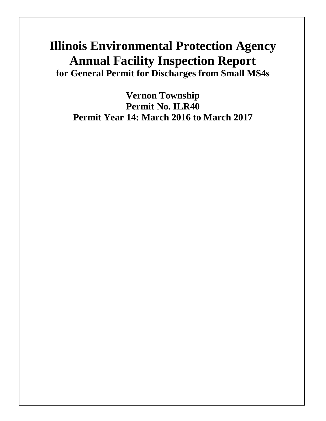# **Illinois Environmental Protection Agency Annual Facility Inspection Report for General Permit for Discharges from Small MS4s**

**Vernon Township Permit No. ILR40 Permit Year 14: March 2016 to March 2017**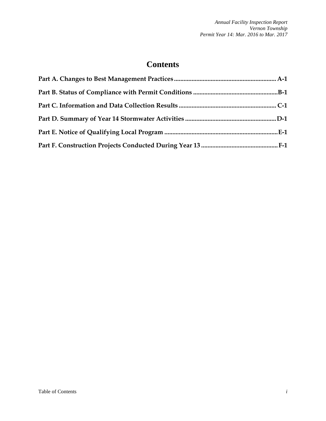# **Contents**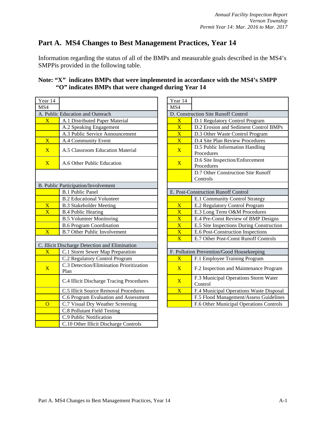# **Part A. MS4 Changes to Best Management Practices, Year 14**

Information regarding the status of all of the BMPs and measurable goals described in the MS4's SMPPis provided in the following table.

# **Note: "X" indicates BMPs that were implemented in accordance with the MS4's SMPP "O" indicates BMPs that were changed during Year 14**

| Year 14                 |                                                  | Year 14                 |                                               |
|-------------------------|--------------------------------------------------|-------------------------|-----------------------------------------------|
| MS4                     |                                                  | MS4                     |                                               |
|                         | A. Public Education and Outreach                 |                         | D. Construction Site Runoff Control           |
| $\overline{\mathbf{X}}$ | A.1 Distributed Paper Material                   | $\overline{\mathbf{X}}$ | D.1 Regulatory Control Program                |
|                         | A.2 Speaking Engagement                          | $\overline{\mathbf{X}}$ | D.2 Erosion and Sediment Contro               |
|                         | A.3 Public Service Announcement                  | $\overline{\text{X}}$   | D.3 Other Waste Control Program               |
| $\overline{\mathbf{X}}$ | A.4 Community Event                              | $\overline{\text{X}}$   | D.4 Site Plan Review Procedures               |
| $\overline{X}$          | A.5 Classroom Education Material                 | $\overline{X}$          | D.5 Public Information Handling<br>Procedures |
| $\mathbf{X}$            | A.6 Other Public Education                       | $\overline{X}$          | D.6 Site Inspection/Enforcement<br>Procedures |
|                         |                                                  |                         | D.7 Other Construction Site Runo<br>Controls  |
|                         | B. Public Participation/Involvement              |                         |                                               |
|                         | <b>B.1 Public Panel</b>                          |                         | E. Post-Construction Runoff Control           |
|                         | <b>B.2 Educational Volunteer</b>                 |                         | E.1 Community Control Strategy                |
| $\overline{\mathbf{X}}$ | <b>B.3 Stakeholder Meeting</b>                   | $\overline{\mathbf{X}}$ | E.2 Regulatory Control Program                |
| $\overline{\mathbf{X}}$ | <b>B.4 Public Hearing</b>                        | $\overline{\mathbf{X}}$ | E.3 Long Term O&M Procedures                  |
|                         | <b>B.5 Volunteer Monitoring</b>                  | $\overline{\text{X}}$   | E.4 Pre-Const Review of BMP De                |
|                         | <b>B.6 Program Coordination</b>                  | $\overline{\text{X}}$   | E.5 Site Inspections During Const             |
| $\overline{\mathbf{X}}$ | <b>B.7 Other Public Involvement</b>              | $\overline{\mathbf{X}}$ | E.6 Post-Construction Inspections             |
|                         |                                                  | $\overline{\mathbf{X}}$ | E.7 Other Post-Const Runoff Con               |
|                         | C. Illicit Discharge Detection and Elimination   |                         |                                               |
| $\overline{\mathbf{X}}$ | C.1 Storm Sewer Map Preparation                  |                         | F. Pollution Prevention/Good Housekeeping     |
|                         | C.2 Regulatory Control Program                   | $\overline{\mathbf{X}}$ | F.1 Employee Training Program                 |
| $\overline{\mathbf{X}}$ | C.3 Detection/Elimination Prioritization<br>Plan | $\overline{X}$          | F.2 Inspection and Maintenance P              |
|                         | C.4 Illicit Discharge Tracing Procedures         | $\overline{X}$          | F.3 Municipal Operations Storm V<br>Control   |
|                         | C.5 Illicit Source Removal Procedures            | $\overline{\mathbf{X}}$ | F.4 Municipal Operations Waste I              |
|                         | C.6 Program Evaluation and Assessment            |                         | F.5 Flood Management/Assess Gu                |
| $\overline{O}$          | C.7 Visual Dry Weather Screening                 |                         | F.6 Other Municipal Operations C              |
|                         | C.8 Pollutant Field Testing                      |                         |                                               |
|                         | C.9 Public Notification                          |                         |                                               |
|                         | C.10 Other Illicit Discharge Controls            |                         |                                               |

| ar 14                                  |                                                                                                             | Year 14                 |                                                 |
|----------------------------------------|-------------------------------------------------------------------------------------------------------------|-------------------------|-------------------------------------------------|
| $\overline{4}$                         |                                                                                                             | MS4                     |                                                 |
|                                        | Public Education and Outreach                                                                               |                         | D. Construction Site Runoff Control             |
| $\overline{\text{X}}$                  | A.1 Distributed Paper Material                                                                              | $\overline{\mathbf{X}}$ | D.1 Regulatory Control Program                  |
|                                        | A.2 Speaking Engagement                                                                                     | $\overline{\text{X}}$   | D.2 Erosion and Sediment Control BMPs           |
|                                        | A.3 Public Service Announcement                                                                             | $\overline{\text{X}}$   | D.3 Other Waste Control Program                 |
| $\overline{\text{X}}$                  | A.4 Community Event                                                                                         | $\overline{\mathbf{X}}$ | D.4 Site Plan Review Procedures                 |
| $\overline{\text{X}}$                  | A.5 Classroom Education Material                                                                            | $\overline{\mathbf{X}}$ | D.5 Public Information Handling<br>Procedures   |
| $\overline{\text{X}}$                  | A.6 Other Public Education                                                                                  | $\overline{\mathbf{X}}$ | D.6 Site Inspection/Enforcement<br>Procedures   |
|                                        |                                                                                                             |                         | D.7 Other Construction Site Runoff<br>Controls  |
|                                        | Public Participation/Involvement                                                                            |                         |                                                 |
|                                        | <b>B.1 Public Panel</b>                                                                                     |                         | E. Post-Construction Runoff Control             |
|                                        | <b>B.2 Educational Volunteer</b>                                                                            |                         | E.1 Community Control Strategy                  |
| $\overline{\textbf{X}}$                | <b>B.3 Stakeholder Meeting</b>                                                                              | $\overline{\textbf{X}}$ | E.2 Regulatory Control Program                  |
| $\overline{\text{X}}$                  | <b>B.4 Public Hearing</b>                                                                                   | $\overline{\mathbf{X}}$ | E.3 Long Term O&M Procedures                    |
|                                        | <b>B.5 Volunteer Monitoring</b>                                                                             | $\overline{\mathbf{X}}$ | E.4 Pre-Const Review of BMP Designs             |
|                                        | <b>B.6 Program Coordination</b>                                                                             | $\overline{\mathbf{X}}$ | E.5 Site Inspections During Construction        |
| $\overline{\text{X}^{\text{}}\text{}}$ | <b>B.7 Other Public Involvement</b>                                                                         | $\overline{\text{X}}$   | E.6 Post-Construction Inspections               |
|                                        |                                                                                                             | $\overline{\mathbf{X}}$ | E.7 Other Post-Const Runoff Controls            |
|                                        | Illicit Discharge Detection and Elimination                                                                 |                         |                                                 |
| $\overline{\text{X}}$ .                | C.1 Storm Sewer Map Preparation                                                                             |                         | F. Pollution Prevention/Good Housekeeping       |
|                                        | C.2 Regulatory Control Program                                                                              | $\overline{\text{X}}$   | F.1 Employee Training Program                   |
| $\overline{\text{X}}$                  | C.3 Detection/Elimination Prioritization<br>Plan                                                            | $\overline{\mathbf{X}}$ | F.2 Inspection and Maintenance Program          |
|                                        | C.4 Illicit Discharge Tracing Procedures                                                                    | $\overline{\mathbf{X}}$ | F.3 Municipal Operations Storm Water<br>Control |
|                                        | C.5 Illicit Source Removal Procedures                                                                       | $\overline{\textbf{X}}$ | F.4 Municipal Operations Waste Disposal         |
|                                        | C.6 Program Evaluation and Assessment                                                                       |                         | F.5 Flood Management/Assess Guidelines          |
| $\overline{O}$                         | C.7 Visual Dry Weather Screening                                                                            |                         | F.6 Other Municipal Operations Controls         |
|                                        | $C$ $D$ $Dz$ $11$ $Lz$ $Lz$ $Lz$ $Lz$ $Lz$ $Lz$ $Lz$ $Lz$ $Lz$ $Lz$ $Lz$ $Lz$ $Lz$ $Lz$ $Lz$ $Lz$ $Lz$ $Lz$ |                         |                                                 |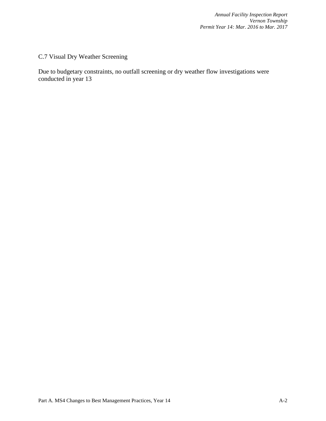C.7 Visual Dry Weather Screening

Due to budgetary constraints, no outfall screening or dry weather flow investigations were conducted in year 13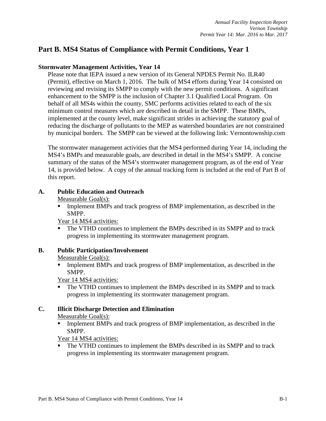# **Part B. MS4 Status of Compliance with Permit Conditions, Year 1**

#### **Stormwater Management Activities, Year 14**

Please note that IEPA issued a new version of its General NPDES Permit No. ILR40 (Permit), effective on March 1, 2016. The bulk of MS4 efforts during Year 14 consisted on reviewing and revising its SMPP to comply with the new permit conditions. A significant enhancement to the SMPP is the inclusion of Chapter 3.1 Qualified Local Program. On behalf of all MS4s within the county, SMC performs activities related to each of the six minimum control measures which are described in detail in the SMPP. These BMPs, implemented at the county level, make significant strides in achieving the statutory goal of reducing the discharge of pollutants to the MEP as watershed boundaries are not constrained by municipal borders. The SMPP can be viewed at the following link: Vernontownship.com

The stormwater management activities that the MS4 performed during Year 14, including the MS4's BMPs and measurable goals, are described in detail in the MS4's SMPP. A concise summary of the status of the MS4's stormwater management program, as of the end of Year 14, is provided below. A copy of the annual tracking form is included at the end of Part B of this report.

#### **A. Public Education and Outreach**

Measurable Goal(s):

 Implement BMPs and track progress of BMP implementation, as described in the SMPP.

Year 14 MS4 activities:

 The VTHD continues to implement the BMPs described in its SMPP and to track progress in implementing its stormwater management program.

#### **B. Public Participation/Involvement**

#### Measurable Goal(s):

 Implement BMPs and track progress of BMP implementation, as described in the SMPP.

Year 14 MS4 activities:

• The VTHD continues to implement the BMPs described in its SMPP and to track progress in implementing its stormwater management program.

#### **C. Illicit Discharge Detection and Elimination**

Measurable Goal(s):

Implement BMPs and track progress of BMP implementation, as described in the SMPP.

Year 14 MS4 activities:

 The VTHD continues to implement the BMPs described in its SMPP and to track progress in implementing its stormwater management program.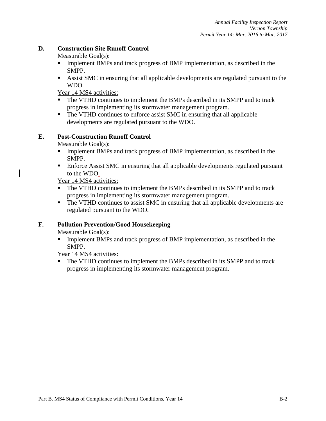#### **D. Construction Site Runoff Control**

Measurable Goal(s):

- **Implement BMPs and track progress of BMP implementation, as described in the** SMPP.
- Assist SMC in ensuring that all applicable developments are regulated pursuant to the WDO.

Year 14 MS4 activities:

- The VTHD continues to implement the BMPs described in its SMPP and to track progress in implementing its stormwater management program.
- The VTHD continues to enforce assist SMC in ensuring that all applicable developments are regulated pursuant to the WDO.

#### **E. Post-Construction Runoff Control**

Measurable Goal(s):

- **Implement BMPs and track progress of BMP implementation, as described in the** SMPP.
- **Enforce Assist SMC in ensuring that all applicable developments regulated pursuant** to the WDO.

Year 14 MS4 activities:

- The VTHD continues to implement the BMPs described in its SMPP and to track progress in implementing its stormwater management program.
- The VTHD continues to assist SMC in ensuring that all applicable developments are regulated pursuant to the WDO.

# **F. Pollution Prevention/Good Housekeeping**

Measurable Goal(s):

**Implement BMPs and track progress of BMP implementation, as described in the** SMPP.

Year 14 MS4 activities:

 The VTHD continues to implement the BMPs described in its SMPP and to track progress in implementing its stormwater management program.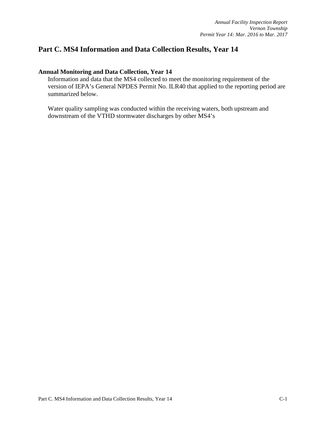# **Part C. MS4 Information and Data Collection Results, Year 14**

#### **Annual Monitoring and Data Collection, Year 14**

Information and data that the MS4 collected to meet the monitoring requirement of the version of IEPA's General NPDES Permit No. ILR40 that applied to the reporting period are summarized below.

Water quality sampling was conducted within the receiving waters, both upstream and downstream of the VTHD stormwater discharges by other MS4's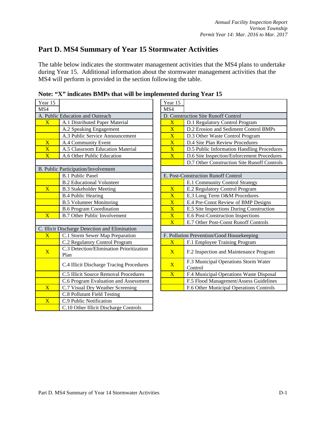# **Part D. MS4 Summary of Year 15 Stormwater Activities**

The table below indicates the stormwater management activities that the MS4 plans to undertake during Year 15. Additional information about the stormwater management activities that the MS4 will perform is provided in the section following the table.

| Year 15                 |                                                  | Year 15                 |                                             |
|-------------------------|--------------------------------------------------|-------------------------|---------------------------------------------|
| MS4                     |                                                  | MS4                     |                                             |
|                         | A. Public Education and Outreach                 |                         | D. Construction Site Runoff Control         |
| $\overline{\text{X}}$   | A.1 Distributed Paper Material                   | $\overline{\textbf{X}}$ | D.1 Regulatory Control Program              |
|                         | A.2 Speaking Engagement                          | $\overline{\mathbf{X}}$ | D.2 Erosion and Sediment Contro             |
|                         | A.3 Public Service Announcement                  | $\overline{\mathbf{X}}$ | D.3 Other Waste Control Program             |
| $\overline{\textbf{X}}$ | A.4 Community Event                              | $\overline{\text{X}}$   | D.4 Site Plan Review Procedures             |
| $\overline{\mathbf{X}}$ | A.5 Classroom Education Material                 | $\overline{\mathbf{X}}$ | D.5 Public Information Handling             |
| $\overline{\mathbf{X}}$ | A.6 Other Public Education                       | $\overline{\mathbf{X}}$ | D.6 Site Inspection/Enforcement I           |
|                         |                                                  |                         | D.7 Other Construction Site Runo            |
|                         | B. Public Participation/Involvement              |                         |                                             |
|                         | <b>B.1 Public Panel</b>                          |                         | E. Post-Construction Runoff Control         |
|                         | <b>B.2 Educational Volunteer</b>                 |                         | E.1 Community Control Strategy              |
| $\overline{\textbf{X}}$ | <b>B.3 Stakeholder Meeting</b>                   | $\overline{\mathbf{X}}$ | E.2 Regulatory Control Program              |
|                         | <b>B.4 Public Hearing</b>                        | $\overline{\mathbf{X}}$ | E.3 Long Term O&M Procedures                |
|                         | <b>B.5 Volunteer Monitoring</b>                  | $\overline{\textbf{X}}$ | E.4 Pre-Const Review of BMP De              |
|                         | <b>B.6 Program Coordination</b>                  | $\overline{\text{X}}$   | E.5 Site Inspections During Const           |
| $\overline{\mathbf{X}}$ | <b>B.7 Other Public Involvement</b>              | $\overline{\text{X}}$   | E.6 Post-Construction Inspections           |
|                         |                                                  | $\overline{\mathbf{X}}$ | E.7 Other Post-Const Runoff Cont            |
|                         | C. Illicit Discharge Detection and Elimination   |                         |                                             |
| $\overline{X}$          | C.1 Storm Sewer Map Preparation                  |                         | F. Pollution Prevention/Good Housekeeping   |
|                         | C.2 Regulatory Control Program                   | $\overline{\text{X}}$   | F.1 Employee Training Program               |
| $\overline{\mathbf{X}}$ | C.3 Detection/Elimination Prioritization<br>Plan | $\mathbf{X}$            | F.2 Inspection and Maintenance P            |
|                         | C.4 Illicit Discharge Tracing Procedures         | $\overline{\mathbf{X}}$ | F.3 Municipal Operations Storm V<br>Control |
|                         | C.5 Illicit Source Removal Procedures            | $\overline{\mathbf{X}}$ | F.4 Municipal Operations Waste I            |
|                         | C.6 Program Evaluation and Assessment            |                         | F.5 Flood Management/Assess Gu              |
| $\overline{\text{X}}$   | C.7 Visual Dry Weather Screening                 |                         | F.6 Other Municipal Operations C            |
|                         | C.8 Pollutant Field Testing                      |                         |                                             |
| $\overline{\mathbf{X}}$ | C.9 Public Notification                          |                         |                                             |
|                         | C.10 Other Illicit Discharge Controls            |                         |                                             |
|                         |                                                  |                         |                                             |

**Note: "X" indicates BMPs that will be implemented during Year 15**

| <u>ar 15</u>                    |                                                  | Year 15                 |                                                 |
|---------------------------------|--------------------------------------------------|-------------------------|-------------------------------------------------|
| $\overline{4}$                  |                                                  | MS4                     |                                                 |
| Public Education and Outreach   |                                                  |                         | D. Construction Site Runoff Control             |
| $\overline{\text{X}}$           | A.1 Distributed Paper Material                   | $\overline{\mathbf{X}}$ | D.1 Regulatory Control Program                  |
|                                 | A.2 Speaking Engagement                          | $\overline{\textbf{X}}$ | D.2 Erosion and Sediment Control BMPs           |
|                                 | A.3 Public Service Announcement                  | $\overline{\textbf{X}}$ | D.3 Other Waste Control Program                 |
|                                 | A.4 Community Event                              | $\overline{\mathbf{X}}$ | D.4 Site Plan Review Procedures                 |
| $\frac{\mathbf{X}}{\mathbf{X}}$ | A.5 Classroom Education Material                 | $\overline{\textbf{X}}$ | D.5 Public Information Handling Procedures      |
|                                 | A.6 Other Public Education                       | $\overline{\mathbf{X}}$ | D.6 Site Inspection/Enforcement Procedures      |
|                                 |                                                  |                         | D.7 Other Construction Site Runoff Controls     |
|                                 | Public Participation/Involvement                 |                         |                                                 |
|                                 | <b>B.1 Public Panel</b>                          |                         | E. Post-Construction Runoff Control             |
|                                 | <b>B.2 Educational Volunteer</b>                 |                         | E.1 Community Control Strategy                  |
| $\overline{\text{X}}$           | <b>B.3 Stakeholder Meeting</b>                   | $\overline{\textbf{X}}$ | E.2 Regulatory Control Program                  |
|                                 | <b>B.4 Public Hearing</b>                        | $\overline{\textbf{X}}$ | E.3 Long Term O&M Procedures                    |
|                                 | <b>B.5 Volunteer Monitoring</b>                  | $\overline{\textbf{X}}$ | E.4 Pre-Const Review of BMP Designs             |
|                                 | <b>B.6 Program Coordination</b>                  | $\overline{\text{X}}$   | E.5 Site Inspections During Construction        |
| $\overline{\text{X}}$           | <b>B.7 Other Public Involvement</b>              | $\overline{\mathbf{X}}$ | E.6 Post-Construction Inspections               |
|                                 |                                                  | $\overline{\textbf{X}}$ | E.7 Other Post-Const Runoff Controls            |
|                                 | Illicit Discharge Detection and Elimination      |                         |                                                 |
| $\overline{\text{X}}$           | C.1 Storm Sewer Map Preparation                  |                         | F. Pollution Prevention/Good Housekeeping       |
|                                 | C.2 Regulatory Control Program                   | $\overline{\mathbf{X}}$ | F.1 Employee Training Program                   |
| $\overline{\text{X}}$           | C.3 Detection/Elimination Prioritization<br>Plan | $\overline{X}$          | F.2 Inspection and Maintenance Program          |
|                                 | C.4 Illicit Discharge Tracing Procedures         | $\overline{\mathbf{X}}$ | F.3 Municipal Operations Storm Water<br>Control |
|                                 | C.5 Illicit Source Removal Procedures            | $\overline{\mathbf{X}}$ | F.4 Municipal Operations Waste Disposal         |
|                                 | C.6 Program Evaluation and Assessment            |                         | F.5 Flood Management/Assess Guidelines          |
| $\overline{\text{X}}$           | C.7 Visual Dry Weather Screening                 |                         | F.6 Other Municipal Operations Controls         |
|                                 |                                                  |                         |                                                 |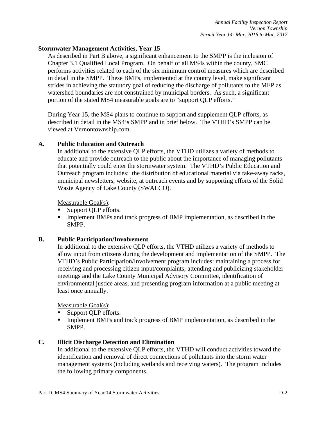#### **Stormwater Management Activities, Year 15**

As described in Part B above, a significant enhancement to the SMPP is the inclusion of Chapter 3.1 Qualified Local Program. On behalf of all MS4s within the county, SMC performs activities related to each of the six minimum control measures which are described in detail in the SMPP. These BMPs, implemented at the county level, make significant strides in achieving the statutory goal of reducing the discharge of pollutants to the MEP as watershed boundaries are not constrained by municipal borders. As such, a significant portion of the stated MS4 measurable goals are to "support QLP efforts."

During Year 15, the MS4 plans to continue to support and supplement QLP efforts, as described in detail in the MS4's SMPP and in brief below. The VTHD's SMPP can be viewed at Vernontownship.com.

#### **A. Public Education and Outreach**

In additional to the extensive QLP efforts, the VTHD utilizes a variety of methods to educate and provide outreach to the public about the importance of managing pollutants that potentially could enter the stormwater system. The VTHD's Public Education and Outreach program includes: the distribution of educational material via take-away racks, municipal newsletters, website, at outreach events and by supporting efforts of the Solid Waste Agency of Lake County (SWALCO).

Measurable Goal(s):

- Support QLP efforts.
- Implement BMPs and track progress of BMP implementation, as described in the SMPP.

#### **B. Public Participation/Involvement**

In additional to the extensive QLP efforts, the VTHD utilizes a variety of methods to allow input from citizens during the development and implementation of the SMPP. The VTHD's Public Participation/Involvement program includes: maintaining a process for receiving and processing citizen input/complaints; attending and publicizing stakeholder meetings and the Lake County Municipal Advisory Committee, identification of environmental justice areas, and presenting program information at a public meeting at least once annually.

Measurable Goal(s):

- Support QLP efforts.
- Implement BMPs and track progress of BMP implementation, as described in the SMPP.

#### **C. Illicit Discharge Detection and Elimination**

In additional to the extensive QLP efforts, the VTHD will conduct activities toward the identification and removal of direct connections of pollutants into the storm water management systems (including wetlands and receiving waters). The program includes the following primary components.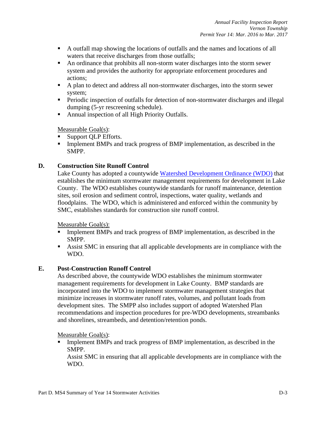- A outfall map showing the locations of outfalls and the names and locations of all waters that receive discharges from those outfalls;
- An ordinance that prohibits all non-storm water discharges into the storm sewer system and provides the authority for appropriate enforcement procedures and actions;
- A plan to detect and address all non-stormwater discharges, into the storm sewer system;
- **Periodic inspection of outfalls for detection of non-stormwater discharges and illegal** dumping (5-yr rescreening schedule).
- Annual inspection of all High Priority Outfalls.

Measurable Goal(s):

- Support QLP Efforts.
- Implement BMPs and track progress of BMP implementation, as described in the SMPP.

#### **D. Construction Site Runoff Control**

Lake County has adopted a countywide [Watershed Development Ordinance \(WDO\)](https://lakecountyil.gov/2358/Watershed-Development-Ordinance) that establishes the minimum stormwater management requirements for development in Lake County. The WDO establishes countywide standards for runoff maintenance, detention sites, soil erosion and sediment control, inspections, water quality, wetlands and floodplains. The WDO, which is administered and enforced within the community by SMC, establishes standards for construction site runoff control.

Measurable Goal(s):

- Implement BMPs and track progress of BMP implementation, as described in the SMPP.
- Assist SMC in ensuring that all applicable developments are in compliance with the WDO.

#### **E. Post-Construction Runoff Control**

As described above, the countywide WDO establishes the minimum stormwater management requirements for development in Lake County. BMP standards are incorporated into the WDO to implement stormwater management strategies that minimize increases in stormwater runoff rates, volumes, and pollutant loads from development sites. The SMPP also includes support of adopted Watershed Plan recommendations and inspection procedures for pre-WDO developments, streambanks and shorelines, streambeds, and detention/retention ponds.

Measurable Goal(s):

Implement BMPs and track progress of BMP implementation, as described in the SMPP.

Assist SMC in ensuring that all applicable developments are in compliance with the WDO.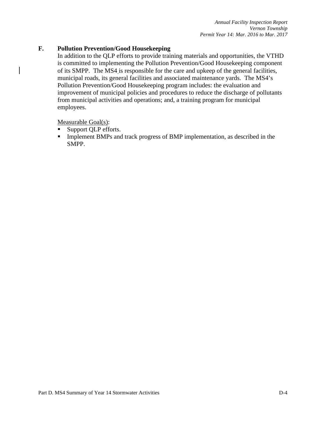#### **F. Pollution Prevention/Good Housekeeping**

In addition to the QLP efforts to provide training materials and opportunities, the VTHD is committed to implementing the Pollution Prevention/Good Housekeeping component of its SMPP. The MS4 is responsible for the care and upkeep of the general facilities, municipal roads, its general facilities and associated maintenance yards. The MS4's Pollution Prevention/Good Housekeeping program includes: the evaluation and improvement of municipal policies and procedures to reduce the discharge of pollutants from municipal activities and operations; and, a training program for municipal employees.

Measurable Goal(s):

- Support QLP efforts.
- Implement BMPs and track progress of BMP implementation, as described in the SMPP.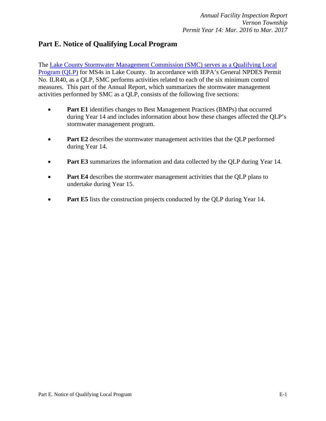# **Part E. Notice of Qualifying Local Program**

The [Lake County Stormwater Management Commission \(SMC\) serves as a Qualifying Local](http://lakecountyil.gov/DocumentCenter/View/11185)  [Program \(QLP\)](http://lakecountyil.gov/DocumentCenter/View/11185) for MS4s in Lake County. In accordance with IEPA's General NPDES Permit No. ILR40, as a QLP, SMC performs activities related to each of the six minimum control measures. This part of the Annual Report, which summarizes the stormwater management activities performed by SMC as a QLP, consists of the following five sections:

- **Part E1** identifies changes to Best Management Practices (BMPs) that occurred during Year 14 and includes information about how these changes affected the QLP's stormwater management program.
- **Part E2** describes the stormwater management activities that the QLP performed during Year 14.
- **Part E3** summarizes the information and data collected by the QLP during Year 14.
- **Part E4** describes the stormwater management activities that the QLP plans to undertake during Year 15.
- **Part E5** lists the construction projects conducted by the QLP during Year 14.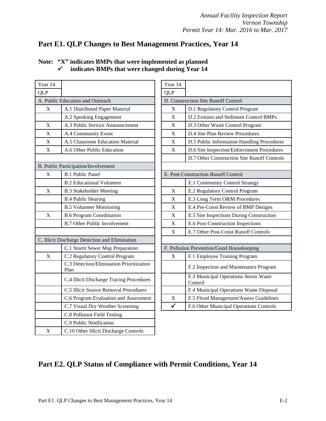# **Part E1. QLP Changes to Best Management Practices, Year 14**

| Year 14     |                                                  | Year 14                   |                                             |
|-------------|--------------------------------------------------|---------------------------|---------------------------------------------|
| <b>QLP</b>  |                                                  | <b>QLP</b>                |                                             |
|             | A. Public Education and Outreach                 |                           | D. Construction Site Runoff Control         |
| $\mathbf X$ | A.1 Distributed Paper Material                   | $\mathbf X$               | D.1 Regulatory Control Program              |
|             | A.2 Speaking Engagement                          | $\mathbf X$               | D.2 Erosion and Sediment Control            |
| X           | A.3 Public Service Announcement                  | $\boldsymbol{\mathrm{X}}$ | D.3 Other Waste Control Program             |
| $\mathbf X$ | A.4 Community Event                              | $\boldsymbol{\mathrm{X}}$ | D.4 Site Plan Review Procedures             |
| $\mathbf X$ | A.5 Classroom Education Material                 | $\mathbf X$               | D.5 Public Information Handling I           |
| $\mathbf X$ | A.6 Other Public Education                       | $\mathbf X$               | D.6 Site Inspection/Enforcement F           |
|             |                                                  |                           | D.7 Other Construction Site Runo:           |
|             | B. Public Participation/Involvement              |                           |                                             |
| X           | <b>B.1 Public Panel</b>                          |                           | E. Post-Construction Runoff Control         |
|             | <b>B.2 Educational Volunteer</b>                 |                           | E.1 Community Control Strategy              |
| $\mathbf X$ | <b>B.3 Stakeholder Meeting</b>                   | X                         | E.2 Regulatory Control Program              |
|             | <b>B.4 Public Hearing</b>                        | $\boldsymbol{\mathrm{X}}$ | E.3 Long Term O&M Procedures                |
|             | <b>B.5 Volunteer Monitoring</b>                  | X                         | E.4 Pre-Const Review of BMP De              |
| $\mathbf X$ | <b>B.6 Program Coordination</b>                  | $\boldsymbol{\mathrm{X}}$ | E.5 Site Inspections During Consta          |
|             | <b>B.7 Other Public Involvement</b>              | $\mathbf X$               | E.6 Post-Construction Inspections           |
|             |                                                  | $\mathbf X$               | E.7 Other Post-Const Runoff Cont            |
|             | C. Illicit Discharge Detection and Elimination   |                           |                                             |
|             | C.1 Storm Sewer Map Preparation                  |                           | F. Pollution Prevention/Good Housekeeping   |
| X           | C.2 Regulatory Control Program                   | X                         | F.1 Employee Training Program               |
|             | C.3 Detection/Elimination Prioritization<br>Plan |                           | F.2 Inspection and Maintenance P            |
|             | C.4 Illicit Discharge Tracing Procedures         |                           | F.3 Municipal Operations Storm V<br>Control |
|             | C.5 Illicit Source Removal Procedures            |                           | F.4 Municipal Operations Waste D            |
|             | C.6 Program Evaluation and Assessment            | X                         | F.5 Flood Management/Assess Gu              |
|             | C.7 Visual Dry Weather Screening                 | $\checkmark$              | F.6 Other Municipal Operations C            |
|             | <b>C.8 Pollutant Field Testing</b>               |                           |                                             |
|             | C.9 Public Notification                          |                           |                                             |
| $\mathbf X$ | C.10 Other Illicit Discharge Controls            |                           |                                             |

|  | Note: "X" indicates BMPs that were implemented as planned |
|--|-----------------------------------------------------------|
|  | indicates BMPs that were changed during Year 14           |

| r 14           |                                                  | Year 14      |                                                 |
|----------------|--------------------------------------------------|--------------|-------------------------------------------------|
| $\mathbf{c}$   |                                                  | <b>QLP</b>   |                                                 |
|                | Public Education and Outreach                    |              | D. Construction Site Runoff Control             |
| $\mathbf X$    | A.1 Distributed Paper Material                   | X            | D.1 Regulatory Control Program                  |
|                | A.2 Speaking Engagement                          | X            | D.2 Erosion and Sediment Control BMPs           |
| $\overline{X}$ | A.3 Public Service Announcement                  | X            | D.3 Other Waste Control Program                 |
| $\frac{X}{X}$  | A.4 Community Event                              | X            | D.4 Site Plan Review Procedures                 |
|                | A.5 Classroom Education Material                 | X            | D.5 Public Information Handling Procedures      |
| X              | A.6 Other Public Education                       | X            | D.6 Site Inspection/Enforcement Procedures      |
|                |                                                  |              | D.7 Other Construction Site Runoff Controls     |
|                | ublic Participation/Involvement                  |              |                                                 |
| $\mathbf X$    | <b>B.1 Public Panel</b>                          |              | E. Post-Construction Runoff Control             |
|                | <b>B.2 Educational Volunteer</b>                 |              | E.1 Community Control Strategy                  |
| X              | <b>B.3 Stakeholder Meeting</b>                   | X            | E.2 Regulatory Control Program                  |
|                | <b>B.4 Public Hearing</b>                        | X            | E.3 Long Term O&M Procedures                    |
|                | <b>B.5 Volunteer Monitoring</b>                  | X            | E.4 Pre-Const Review of BMP Designs             |
| X              | <b>B.6 Program Coordination</b>                  | X            | E.5 Site Inspections During Construction        |
|                | <b>B.7 Other Public Involvement</b>              | X            | E.6 Post-Construction Inspections               |
|                |                                                  | X            | E.7 Other Post-Const Runoff Controls            |
|                | llicit Discharge Detection and Elimination       |              |                                                 |
|                | C.1 Storm Sewer Map Preparation                  |              | F. Pollution Prevention/Good Housekeeping       |
| X              | C.2 Regulatory Control Program                   | X            | F.1 Employee Training Program                   |
|                | C.3 Detection/Elimination Prioritization<br>Plan |              | F.2 Inspection and Maintenance Program          |
|                | C.4 Illicit Discharge Tracing Procedures         |              | F.3 Municipal Operations Storm Water<br>Control |
|                | C.5 Illicit Source Removal Procedures            |              | F.4 Municipal Operations Waste Disposal         |
|                | C.6 Program Evaluation and Assessment            | X            | F.5 Flood Management/Assess Guidelines          |
|                | C.7 Visual Dry Weather Screening                 | $\checkmark$ | F.6 Other Municipal Operations Controls         |
|                |                                                  |              |                                                 |

# **Part E2. QLP Status of Compliance with Permit Conditions, Year 14**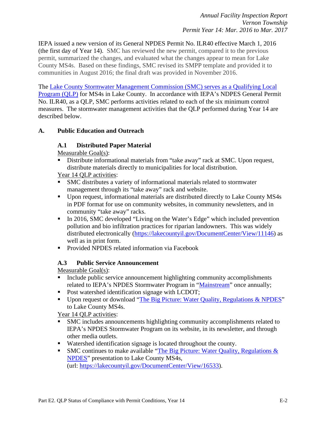IEPA issued a new version of its General NPDES Permit No. ILR40 effective March 1, 2016 (the first day of Year 14). SMC has reviewed the new permit, compared it to the previous permit, summarized the changes, and evaluated what the changes appear to mean for Lake County MS4s. Based on these findings, SMC revised its SMPP template and provided it to communities in August 2016; the final draft was provided in November 2016.

The Lake County [Stormwater Management Commission \(SMC\) serves as a Qualifying Local](http://lakecountyil.gov/DocumentCenter/View/11185)  [Program \(QLP\)](http://lakecountyil.gov/DocumentCenter/View/11185) for MS4s in Lake County. In accordance with IEPA's NDPES General Permit No. ILR40, as a QLP, SMC performs activities related to each of the six minimum control measures. The stormwater management activities that the QLP performed during Year 14 are described below.

#### **A. Public Education and Outreach**

#### **A.1 Distributed Paper Material**

Measurable Goal(s):

Distribute informational materials from "take away" rack at SMC. Upon request, distribute materials directly to municipalities for local distribution.

Year 14 QLP activities:

- SMC distributes a variety of informational materials related to stormwater management through its "take away" rack and website.
- Upon request, informational materials are distributed directly to Lake County MS4s in PDF format for use on community websites, in community newsletters, and in community "take away" racks.
- In 2016, SMC developed "Living on the Water's Edge" which included prevention pollution and bio infiltration practices for riparian landowners. This was widely distributed electronically [\(https://lakecountyil.gov/DocumentCenter/View/11146\)](https://lakecountyil.gov/DocumentCenter/View/11146) as well as in print form.
- **Provided NPDES related information via Facebook**

#### **A.3 Public Service Announcement**

Measurable Goal(s):

- Include public service announcement highlighting community accomplishments related to IEPA's NPDES Stormwater Program in ["Mainstream"](https://lakecountyil.gov/2331/Newsletters-Annual-Reports) once annually;
- Post watershed identification signage with LCDOT;
- Upon request or download ["The Big Picture: Water Quality, Regulations & NPDES"](https://lakecountyil.gov/DocumentCenter/View/16533) to Lake County MS4s.

- SMC includes announcements highlighting community accomplishments related to IEPA's NPDES Stormwater Program on its website, in its newsletter, and through other media outlets.
- Watershed identification signage is located throughout the county.
- SMC continues to make available "The Big Picture: Water Quality, Regulations  $\&$ [NPDES"](https://lakecountyil.gov/DocumentCenter/View/16533) presentation to Lake County MS4s, (url: [https://lakecountyil.gov/DocumentCenter/View/16533\)](https://lakecountyil.gov/DocumentCenter/View/16533).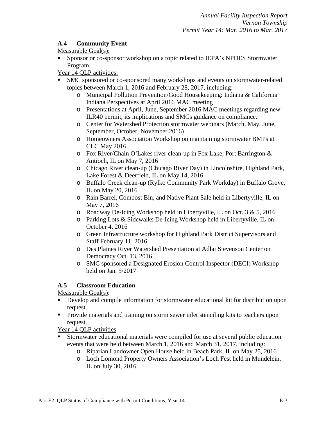# **A.4 Community Event**

# Measurable Goal(s):

**Sponsor or co-sponsor workshop on a topic related to IEPA's NPDES Stormwater** Program.

Year 14 QLP activities:

- SMC sponsored or co-sponsored many workshops and events on stormwater-related topics between March 1, 2016 and February 28, 2017, including:
	- o Municipal Pollution Prevention/Good Housekeeping: Indiana & California Indiana Perspectives at April 2016 MAC meeting
	- o Presentations at April, June, September 2016 MAC meetings regarding new ILR40 permit, its implications and SMCs guidance on compliance.
	- o Center for Watershed Protection stormwater webinars (March, May, June, September, October, November 2016)
	- o Homeowners Association Workshop on maintaining stormwater BMPs at CLC May 2016
	- o Fox River/Chain O'Lakes river clean-up in Fox Lake, Port Barrington & Antioch, IL on May 7, 2016
	- o Chicago River clean-up (Chicago River Day) in Lincolnshire, Highland Park, Lake Forest & Deerfield, IL on May 14, 2016
	- o Buffalo Creek clean-up (Rylko Community Park Workday) in Buffalo Grove, IL on May 20, 2016
	- o Rain Barrel, Compost Bin, and Native Plant Sale held in Libertyville, IL on May 7, 2016
	- o Roadway De-Icing Workshop held in Libertyville, IL on Oct. 3 & 5, 2016
	- o Parking Lots & Sidewalks De-Icing Workshop held in Libertyville, IL on October 4, 2016
	- o Green Infrastructure workshop for Highland Park District Supervisors and Staff February 11, 2016
	- o Des Plaines River Watershed Presentation at Adlai Stevenson Center on Democracy Oct. 13, 2016
	- o SMC sponsored a Designated Erosion Control Inspector (DECI) Workshop held on Jan. 5/2017

# **A.5 Classroom Education**

Measurable Goal(s):

- Develop and compile information for stormwater educational kit for distribution upon request.
- **Provide materials and training on storm sewer inlet stenciling kits to teachers upon** request.

- Stormwater educational materials were compiled for use at several public education events that were held between March 1, 2016 and March 31, 2017, including:
	- o Riparian Landowner Open House held in Beach Park, IL on May 25, 2016
	- o Loch Lomond Property Owners Association's Loch Fest held in Mundelein, IL on July 30, 2016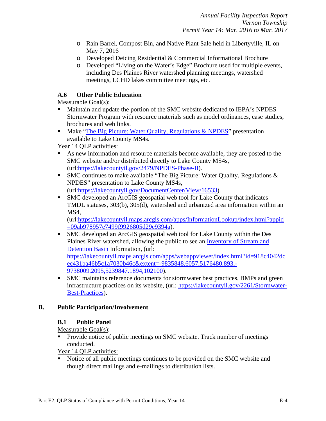- o Rain Barrel, Compost Bin, and Native Plant Sale held in Libertyville, IL on May 7, 2016
- o Developed Deicing Residential & Commercial Informational Brochure
- o Developed "Living on the Water's Edge" Brochure used for multiple events, including Des Plaines River watershed planning meetings, watershed meetings, LCHD lakes committee meetings, etc.

### **A.6 Other Public Education**

Measurable Goal(s):

- Maintain and update the portion of the SMC website dedicated to IEPA's NPDES Stormwater Program with resource materials such as model ordinances, case studies, brochures and web links.
- Make ["The Big Picture: Water Quality, Regulations & NPDES"](https://lakecountyil.gov/DocumentCenter/View/16533) presentation available to Lake County MS4s.

Year 14 QLP activities:

- As new information and resource materials become available, they are posted to the SMC website and/or distributed directly to Lake County MS4s, (url[:https://lakecountyil.gov/2479/NPDES-Phase-II\)](https://lakecountyil.gov/2479/NPDES-Phase-II).
- SMC continues to make available "The Big Picture: Water Quality, Regulations & NPDES" presentation to Lake County MS4s, (url[:https://lakecountyil.gov/DocumentCenter/View/16533\)](https://lakecountyil.gov/DocumentCenter/View/16533).
- SMC developed an ArcGIS geospatial web tool for Lake County that indicates TMDL statuses, 303(b), 305(d), watershed and urbanized area information within an MS<sub>4</sub>.

(url[:https://lakecountyil.maps.arcgis.com/apps/InformationLookup/index.html?appid](https://lakecountyil.maps.arcgis.com/apps/InformationLookup/index.html?appid=09ab978957e7499f9926805d29e9394a) [=09ab978957e7499f9926805d29e9394a\)](https://lakecountyil.maps.arcgis.com/apps/InformationLookup/index.html?appid=09ab978957e7499f9926805d29e9394a).

- SMC developed an ArcGIS geospatial web tool for Lake County within the Des Plaines River watershed, allowing the public to see an [Inventory of Stream and](https://lakecountyil.maps.arcgis.com/apps/webappviewer/index.html?id=918c4042dcec431ba46b5c1a7030b46c&extent=-9835848.6057,5176480.893,-9738009.2095,5239847.1894,102100)  [Detention Basin](https://lakecountyil.maps.arcgis.com/apps/webappviewer/index.html?id=918c4042dcec431ba46b5c1a7030b46c&extent=-9835848.6057,5176480.893,-9738009.2095,5239847.1894,102100) Information, (url: [https://lakecountyil.maps.arcgis.com/apps/webappviewer/index.html?id=918c4042dc](https://lakecountyil.maps.arcgis.com/apps/webappviewer/index.html?id=918c4042dcec431ba46b5c1a7030b46c&extent=-9835848.6057,5176480.893,-9738009.2095,5239847.1894,102100) [ec431ba46b5c1a7030b46c&extent=-9835848.6057,5176480.893,-](https://lakecountyil.maps.arcgis.com/apps/webappviewer/index.html?id=918c4042dcec431ba46b5c1a7030b46c&extent=-9835848.6057,5176480.893,-9738009.2095,5239847.1894,102100) [9738009.2095,5239847.1894,102100\)](https://lakecountyil.maps.arcgis.com/apps/webappviewer/index.html?id=918c4042dcec431ba46b5c1a7030b46c&extent=-9835848.6057,5176480.893,-9738009.2095,5239847.1894,102100).
- SMC maintains reference documents for stormwater best practices, BMPs and green infrastructure practices on its website, (url: [https://lakecountyil.gov/2261/Stormwater-](https://lakecountyil.gov/2261/Stormwater-Best-Practices)[Best-Practices\)](https://lakecountyil.gov/2261/Stormwater-Best-Practices).

#### **B. Public Participation/Involvement**

#### **B.1 Public Panel**

Measurable Goal(s):

- Provide notice of public meetings on SMC website. Track number of meetings conducted.
- Year 14 QLP activities:
- Notice of all public meetings continues to be provided on the SMC website and though direct mailings and e-mailings to distribution lists.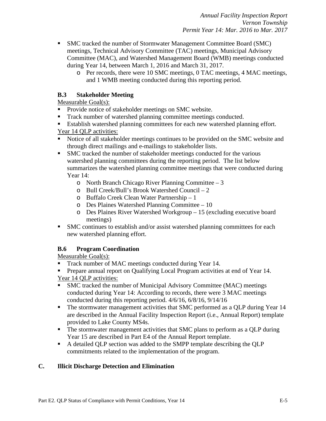- **SMC** tracked the number of Stormwater Management Committee Board (SMC) meetings, Technical Advisory Committee (TAC) meetings, Municipal Advisory Committee (MAC), and Watershed Management Board (WMB) meetings conducted during Year 14, between March 1, 2016 and March 31, 2017.
	- o Per records, there were 10 SMC meetings, 0 TAC meetings, 4 MAC meetings, and 1 WMB meeting conducted during this reporting period.

#### **B.3 Stakeholder Meeting**

Measurable Goal(s):

- **Provide notice of stakeholder meetings on SMC website.**
- Track number of watershed planning committee meetings conducted.
- Establish watershed planning committees for each new watershed planning effort.
- Year 14 QLP activities:
- Notice of all stakeholder meetings continues to be provided on the SMC website and through direct mailings and e-mailings to stakeholder lists.
- SMC tracked the number of stakeholder meetings conducted for the various watershed planning committees during the reporting period. The list below summarizes the watershed planning committee meetings that were conducted during Year 14:
	- o North Branch Chicago River Planning Committee 3
	- o Bull Creek/Bull's Brook Watershed Council 2
	- o Buffalo Creek Clean Water Partnership 1
	- o Des Plaines Watershed Planning Committee 10
	- o Des Plaines River Watershed Workgroup 15 (excluding executive board meetings)
- SMC continues to establish and/or assist watershed planning committees for each new watershed planning effort.

# **B.6 Program Coordination**

Measurable Goal(s):

- Track number of MAC meetings conducted during Year 14.
- **Prepare annual report on Qualifying Local Program activities at end of Year 14.** Year 14 QLP activities:
- SMC tracked the number of Municipal Advisory Committee (MAC) meetings conducted during Year 14: According to records, there were 3 MAC meetings conducted during this reporting period. 4/6/16, 6/8/16, 9/14/16
- The stormwater management activities that SMC performed as a OLP during Year 14 are described in the Annual Facility Inspection Report (i.e., Annual Report) template provided to Lake County MS4s.
- The stormwater management activities that SMC plans to perform as a QLP during Year 15 are described in Part E4 of the Annual Report template.
- A detailed QLP section was added to the SMPP template describing the QLP commitments related to the implementation of the program.

#### **C. Illicit Discharge Detection and Elimination**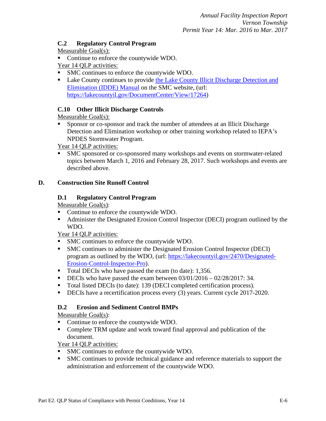#### **C.2 Regulatory Control Program**

#### Measurable Goal(s):

- Continue to enforce the countywide WDO.
- Year 14 QLP activities:
- SMC continues to enforce the countywide WDO.
- Lake County continues to provide the Lake County Illicit Discharge Detection and [Elimination \(IDDE\) Manual](https://lakecountyil.gov/DocumentCenter/View/17264) on the SMC website, (url: [https://lakecountyil.gov/DocumentCenter/View/17264\)](https://lakecountyil.gov/DocumentCenter/View/17264)

# **C.10 Other Illicit Discharge Controls**

Measurable Goal(s):

 Sponsor or co-sponsor and track the number of attendees at an Illicit Discharge Detection and Elimination workshop or other training workshop related to IEPA's NPDES Stormwater Program.

Year 14 QLP activities:

 SMC sponsored or co-sponsored many workshops and events on stormwater-related topics between March 1, 2016 and February 28, 2017. Such workshops and events are described above.

# **D. Construction Site Runoff Control**

# **D.1 Regulatory Control Program**

Measurable Goal(s):

- Continue to enforce the countywide WDO.
- Administer the Designated Erosion Control Inspector (DECI) program outlined by the WDO.

Year 14 QLP activities:

- SMC continues to enforce the countywide WDO.
- SMC continues to administer the Designated Erosion Control Inspector (DECI) program as outlined by the WDO, (url: [https://lakecountyil.gov/2470/Designated-](https://lakecountyil.gov/2470/Designated-Erosion-Control-Inspector-Pro)[Erosion-Control-Inspector-Pro\)](https://lakecountyil.gov/2470/Designated-Erosion-Control-Inspector-Pro).
- Total DECIs who have passed the exam (to date): 1,356.
- DECIs who have passed the exam between  $03/01/2016 02/28/2017$ : 34.
- Total listed DECIs (to date): 139 (DECI completed certification process).
- DECIs have a recertification process every (3) years. Current cycle 2017-2020.

# **D.2 Erosion and Sediment Control BMPs**

Measurable Goal(s):

- Continue to enforce the countywide WDO.
- Complete TRM update and work toward final approval and publication of the document.

- SMC continues to enforce the countywide WDO.
- SMC continues to provide technical guidance and reference materials to support the administration and enforcement of the countywide WDO.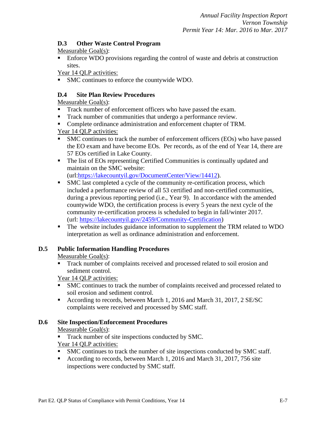#### **D.3 Other Waste Control Program**

# Measurable Goal(s):

**Enforce WDO provisions regarding the control of waste and debris at construction** sites.

Year 14 QLP activities:

SMC continues to enforce the countywide WDO.

### **D.4 Site Plan Review Procedures**

Measurable Goal(s):

- Track number of enforcement officers who have passed the exam.
- Track number of communities that undergo a performance review.
- Complete ordinance administration and enforcement chapter of TRM.

Year 14 QLP activities:

- SMC continues to track the number of enforcement officers (EOs) who have passed the EO exam and have become EOs. Per records, as of the end of Year 14, there are 57 EOs certified in Lake County.
- The list of EOs representing Certified Communities is continually updated and maintain on the SMC website: (url[:https://lakecountyil.gov/DocumentCenter/View/14412\)](https://lakecountyil.gov/DocumentCenter/View/14412).
- SMC last completed a cycle of the community re-certification process, which included a performance review of all 53 certified and non-certified communities, during a previous reporting period (i.e., Year 9). In accordance with the amended countywide WDO, the certification process is every 5 years the next cycle of the community re-certification process is scheduled to begin in fall/winter 2017. (url: [https://lakecountyil.gov/2459/Community-Certification\)](https://lakecountyil.gov/2459/Community-Certification)
- The website includes guidance information to supplement the TRM related to WDO interpretation as well as ordinance administration and enforcement.

# **D.5 Public Information Handling Procedures**

Measurable Goal(s):

 Track number of complaints received and processed related to soil erosion and sediment control.

Year 14 QLP activities:

- SMC continues to track the number of complaints received and processed related to soil erosion and sediment control.
- According to records, between March 1, 2016 and March 31, 2017, 2 SE/SC complaints were received and processed by SMC staff.

# **D.6 Site Inspection/Enforcement Procedures**

Measurable Goal(s):

Track number of site inspections conducted by SMC.

- SMC continues to track the number of site inspections conducted by SMC staff.
- According to records, between March 1, 2016 and March 31, 2017, 756 site inspections were conducted by SMC staff.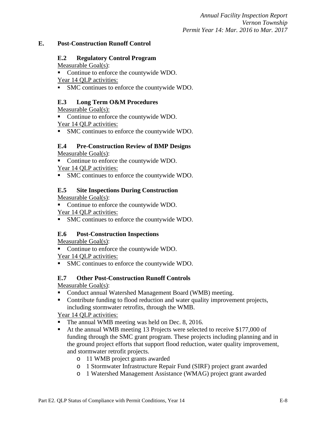#### **E. Post-Construction Runoff Control**

#### **E.2 Regulatory Control Program**

Measurable Goal(s):

• Continue to enforce the countywide WDO.

Year 14 QLP activities:

SMC continues to enforce the countywide WDO.

#### **E.3 Long Term O&M Procedures**

Measurable Goal(s):

• Continue to enforce the countywide WDO.

Year 14 QLP activities:

SMC continues to enforce the countywide WDO.

#### **E.4 Pre-Construction Review of BMP Designs**

Measurable Goal(s):

• Continue to enforce the countywide WDO.

Year 14 QLP activities:

SMC continues to enforce the countywide WDO.

#### **E.5 Site Inspections During Construction**

Measurable Goal(s):

 Continue to enforce the countywide WDO. Year 14 QLP activities:

SMC continues to enforce the countywide WDO.

#### **E.6 Post-Construction Inspections**

Measurable Goal(s):

• Continue to enforce the countywide WDO.

Year 14 QLP activities:

SMC continues to enforce the countywide WDO.

#### **E.7 Other Post-Construction Runoff Controls**

Measurable Goal(s):

- Conduct annual Watershed Management Board (WMB) meeting.
- Contribute funding to flood reduction and water quality improvement projects, including stormwater retrofits, through the WMB.

- The annual WMB meeting was held on Dec. 8, 2016.
- At the annual WMB meeting 13 Projects were selected to receive \$177,000 of funding through the SMC grant program. These projects including planning and in the ground project efforts that support flood reduction, water quality improvement, and stormwater retrofit projects.
	- o 11 WMB project grants awarded
	- o 1 Stormwater Infrastructure Repair Fund (SIRF) project grant awarded
	- o 1 Watershed Management Assistance (WMAG) project grant awarded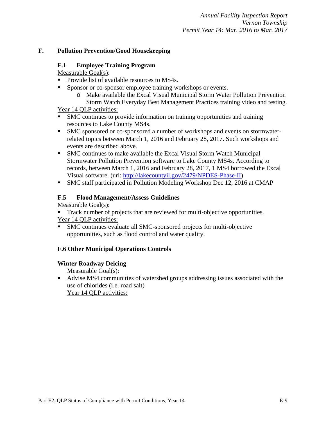#### **F. Pollution Prevention/Good Housekeeping**

#### **F.1 Employee Training Program**

Measurable Goal(s):

- Provide list of available resources to MS4s.
- **Sponsor or co-sponsor employee training workshops or events.** 
	- o Make available the Excal Visual Municipal Storm Water Pollution Prevention Storm Watch Everyday Best Management Practices training video and testing.

#### Year 14 QLP activities:

- SMC continues to provide information on training opportunities and training resources to Lake County MS4s.
- SMC sponsored or co-sponsored a number of workshops and events on stormwaterrelated topics between March 1, 2016 and February 28, 2017. Such workshops and events are described above.
- SMC continues to make available the Excal Visual Storm Watch Municipal Stormwater Pollution Prevention software to Lake County MS4s. According to records, between March 1, 2016 and February 28, 2017, 1 MS4 borrowed the Excal Visual software. (url: [http://lakecountyil.gov/2479/NPDES-Phase-II\)](http://lakecountyil.gov/2479/NPDES-Phase-II)
- SMC staff participated in Pollution Modeling Workshop Dec 12, 2016 at CMAP

#### **F.5 Flood Management/Assess Guidelines**

Measurable Goal(s):

- Track number of projects that are reviewed for multi-objective opportunities. Year 14 QLP activities:
- SMC continues evaluate all SMC-sponsored projects for multi-objective opportunities, such as flood control and water quality.

# **F.6 Other Municipal Operations Controls**

#### **Winter Roadway Deicing**

Measurable Goal(s):

 Advise MS4 communities of watershed groups addressing issues associated with the use of chlorides (i.e. road salt) Year 14 QLP activities: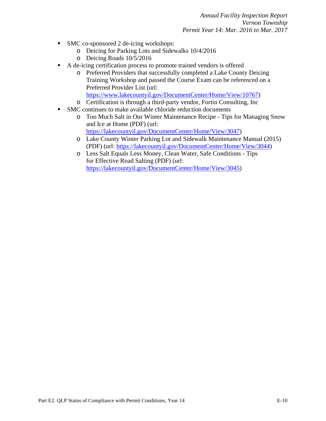- SMC co-sponsored 2 de-icing workshops:
	- o Deicing for Parking Lots and Sidewalks 10/4/2016
	- o Deicing Roads 10/5/2016
- A de-icing certification process to promote trained vendors is offered
	- o Preferred Providers that successfully completed a Lake County Deicing Training Workshop and passed the Course Exam can be referenced on a Preferred Provider List (url: [https://www.lakecountyil.gov/DocumentCenter/Home/View/10767\)](https://www.lakecountyil.gov/DocumentCenter/Home/View/10767)
	- o Certification is through a third-party vendor, Fortin Consulting, Inc
- SMC continues to make available chloride reduction documents
	- o [Too Much Salt in Our Winter Maintenance Recipe -](https://lakecountyil.gov/DocumentCenter/Home/View/3047) Tips for Managing Snow [and Ice at Home \(PDF\)](https://lakecountyil.gov/DocumentCenter/Home/View/3047) (url: [https://lakecountyil.gov/DocumentCenter/Home/View/3047\)](https://lakecountyil.gov/DocumentCenter/Home/View/3047)
	- o Lake County Winter Parking Lot and Sidewalk Maintenance Manual (2015) (PDF) (url: [https://lakecountyil.gov/DocumentCenter/Home/View/3044\)](https://lakecountyil.gov/DocumentCenter/Home/View/3044)
	- o Less Salt Equals Less Money, Clean Water, Safe Conditions Tips for Effective Road Salting (PDF) (url: [https://lakecountyil.gov/DocumentCenter/Home/View/3045\)](https://lakecountyil.gov/DocumentCenter/Home/View/3045)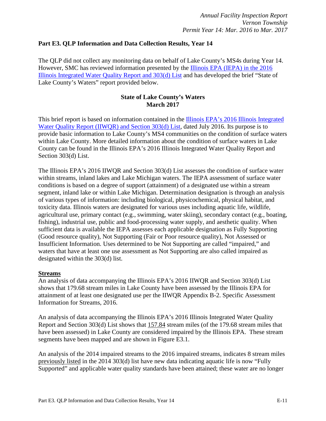#### **Part E3. QLP Information and Data Collection Results, Year 14**

The QLP did not collect any monitoring data on behalf of Lake County's MS4s during Year 14. However, SMC has reviewed information presented by the [Illinois EPA \(IEPA\) in the 2016](http://www.epa.illinois.gov/topics/water-quality/watershed-management/tmdls/303d-list/index)  [Illinois Integrated Water Quality Report and 303\(d\) List](http://www.epa.illinois.gov/topics/water-quality/watershed-management/tmdls/303d-list/index) and has developed the brief "State of Lake County's Waters" report provided below.

#### **State of Lake County's Waters March 2017**

This brief report is based on information contained in the [Illinois EPA's 2016 Illinois Integrated](http://www.epa.illinois.gov/topics/water-quality/watershed-management/tmdls/303d-list/index)  [Water Quality Report \(IIWQR\) and Section 303\(d\) List,](http://www.epa.illinois.gov/topics/water-quality/watershed-management/tmdls/303d-list/index) dated July 2016. Its purpose is to provide basic information to Lake County's MS4 communities on the condition of surface waters within Lake County. More detailed information about the condition of surface waters in Lake County can be found in the Illinois EPA's 2016 Illinois Integrated Water Quality Report and Section 303(d) List.

The Illinois EPA's 2016 IIWQR and Section 303(d) List assesses the condition of surface water within streams, inland lakes and Lake Michigan waters. The IEPA assessment of surface water conditions is based on a degree of support (attainment) of a designated use within a stream segment, inland lake or within Lake Michigan. Determination designation is through an analysis of various types of information: including biological, physicochemical, physical habitat, and toxicity data. Illinois waters are designated for various uses including aquatic life, wildlife, agricultural use, primary contact (e.g., swimming, water skiing), secondary contact (e.g., boating, fishing), industrial use, public and food-processing water supply, and aesthetic quality. When sufficient data is available the IEPA assesses each applicable designation as Fully Supporting (Good resource quality), Not Supporting (Fair or Poor resource quality), Not Assessed or Insufficient Information. Uses determined to be Not Supporting are called "impaired," and waters that have at least one use assessment as Not Supporting are also called impaired as designated within the 303(d) list.

#### **Streams**

An analysis of data accompanying the Illinois EPA's 2016 IIWQR and Section 303(d) List shows that 179.68 stream miles in Lake County have been assessed by the Illinois EPA for attainment of at least one designated use per the IIWQR Appendix B-2. Specific Assessment Information for Streams, 2016.

An analysis of data accompanying the Illinois EPA's 2016 Illinois Integrated Water Quality Report and Section 303(d) List shows that 157.84 stream miles (of the 179.68 stream miles that have been assessed) in Lake County are considered impaired by the Illinois EPA. These stream segments have been mapped and are shown in Figure E3.1.

An analysis of the 2014 impaired streams to the 2016 impaired streams, indicates 8 stream miles previously listed in the 2014 303(d) list have new data indicating aquatic life is now "Fully Supported" and applicable water quality standards have been attained; these water are no longer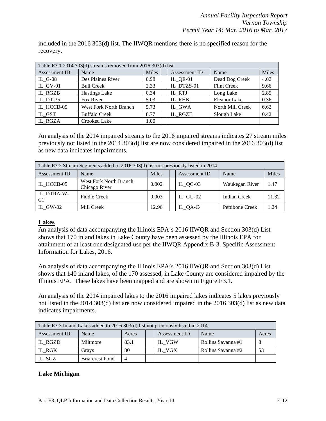included in the 2016 303(d) list. The IIWQR mentions there is no specified reason for the recovery.

| Table E3.1 2014 303(d) streams removed from 2016 303(d) list |                        |              |  |                            |                    |       |
|--------------------------------------------------------------|------------------------|--------------|--|----------------------------|--------------------|-------|
| Assessment ID                                                | Name                   | <b>Miles</b> |  | Assessment ID              | Name               | Miles |
| IL $G-08$                                                    | Des Plaines River      | 0.98         |  | $IL$ <sub>-</sub> $QE$ -01 | Dead Dog Creek     | 4.02  |
| IL GV-01                                                     | <b>Bull Creek</b>      | 2.33         |  | IL DTZS-01                 | <b>Flint Creek</b> | 9.66  |
| IL RGZB                                                      | <b>Hastings Lake</b>   | 0.34         |  | IL RTJ                     | Long Lake          | 2.85  |
| IL DT-35                                                     | Fox River              | 5.03         |  | IL RHK                     | Eleanor Lake       | 0.36  |
| IL HCCB-05                                                   | West Fork North Branch | 5.73         |  | IL GWA                     | North Mill Creek   | 6.62  |
| IL GST                                                       | <b>Buffalo Creek</b>   | 8.77         |  | IL RGZE                    | Slough Lake        | 0.42  |
| IL RGZA                                                      | Crooked Lake           | 1.00         |  |                            |                    |       |

An analysis of the 2014 impaired streams to the 2016 impaired streams indicates 27 stream miles previously not listed in the 2014 303(d) list are now considered impaired in the 2016 303(d) list as new data indicates impairments.

| Table E3.2 Stream Segments added to 2016 303(d) list not previously listed in 2014 |                                         |              |  |               |                 |       |
|------------------------------------------------------------------------------------|-----------------------------------------|--------------|--|---------------|-----------------|-------|
| Assessment ID                                                                      | Name                                    | <b>Miles</b> |  | Assessment ID | Name            | Miles |
| IL HCCB-05                                                                         | West Fork North Branch<br>Chicago River | 0.002        |  | $IL_QC-03$    | Waukegan River  | 1.47  |
| IL DTRA-W-<br>C <sub>1</sub>                                                       | <b>Fiddle Creek</b>                     | 0.003        |  | IL $GU-02$    | Indian Creek    | 11.32 |
| IL GW-02                                                                           | Mill Creek                              | 12.96        |  | $IL_QA-C4$    | Pettibone Creek | 1.24  |

#### **Lakes**

An analysis of data accompanying the Illinois EPA's 2016 IIWQR and Section 303(d) List shows that 170 inland lakes in Lake County have been assessed by the Illinois EPA for attainment of at least one designated use per the IIWQR Appendix B-3. Specific Assessment Information for Lakes, 2016.

An analysis of data accompanying the Illinois EPA's 2016 IIWQR and Section 303(d) List shows that 140 inland lakes, of the 170 assessed, in Lake County are considered impaired by the Illinois EPA. These lakes have been mapped and are shown in Figure E3.1.

An analysis of the 2014 impaired lakes to the 2016 impaired lakes indicates 5 lakes previously not listed in the 2014 303(d) list are now considered impaired in the 2016 303(d) list as new data indicates impairments.

| Table E3.3 Inland Lakes added to 2016 303(d) list not previously listed in 2014 |                        |                                |  |        |                    |    |
|---------------------------------------------------------------------------------|------------------------|--------------------------------|--|--------|--------------------|----|
| Assessment ID                                                                   | Name                   | Name<br>Assessment ID<br>Acres |  |        |                    |    |
| IL RGZD                                                                         | Miltmore               | 83.1                           |  | IL VGW | Rollins Savanna #1 |    |
| IL RGK                                                                          | Grays                  | 80                             |  | IL VGX | Rollins Savanna #2 | 53 |
| IL_SGZ                                                                          | <b>Briarcrest Pond</b> | 4                              |  |        |                    |    |

# **Lake Michigan**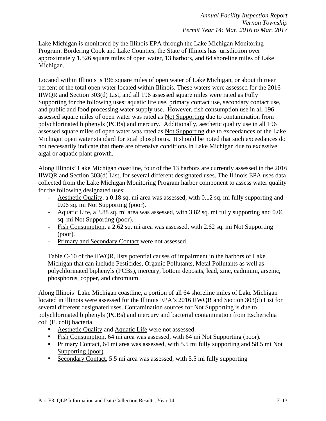Lake Michigan is monitored by the Illinois EPA through the Lake Michigan Monitoring Program. Bordering Cook and Lake Counties, the State of Illinois has jurisdiction over approximately 1,526 square miles of open water, 13 harbors, and 64 shoreline miles of Lake Michigan.

Located within Illinois is 196 square miles of open water of Lake Michigan, or about thirteen percent of the total open water located within Illinois. These waters were assessed for the 2016 IIWQR and Section 303(d) List, and all 196 assessed square miles were rated as Fully Supporting for the following uses: aquatic life use, primary contact use, secondary contact use, and public and food processing water supply use. However, fish consumption use in all 196 assessed square miles of open water was rated as Not Supporting due to contamination from polychlorinated biphenyls (PCBs) and mercury. Additionally, aesthetic quality use in all 196 assessed square miles of open water was rated as Not Supporting due to exceedances of the Lake Michigan open water standard for total phosphorus. It should be noted that such exceedances do not necessarily indicate that there are offensive conditions in Lake Michigan due to excessive algal or aquatic plant growth.

Along Illinois' Lake Michigan coastline, four of the 13 harbors are currently assessed in the 2016 IIWQR and Section 303(d) List, for several different designated uses. The Illinois EPA uses data collected from the Lake Michigan Monitoring Program harbor component to assess water quality for the following designated uses:

- Aesthetic Quality, a 0.18 sq. mi area was assessed, with 0.12 sq. mi fully supporting and 0.06 sq. mi Not Supporting (poor).
- Aquatic Life, a 3.88 sq. mi area was assessed, with 3.82 sq. mi fully supporting and 0.06 sq. mi Not Supporting (poor).
- Fish Consumption, a 2.62 sq. mi area was assessed, with 2.62 sq. mi Not Supporting (poor).
- Primary and Secondary Contact were not assessed.

Table C-10 of the IIWQR, lists potential causes of impairment in the harbors of Lake Michigan that can include Pesticides, Organic Pollutants, Metal Pollutants as well as polychlorinated biphenyls (PCBs), mercury, bottom deposits, lead, zinc, cadmium, arsenic, phosphorus, copper, and chromium.

Along Illinois' Lake Michigan coastline, a portion of all 64 shoreline miles of Lake Michigan located in Illinois were assessed for the Illinois EPA's 2016 IIWQR and Section 303(d) List for several different designated uses. Contamination sources for Not Supporting is due to polychlorinated biphenyls (PCBs) and mercury and bacterial contamination from Escherichia coli (E. coli) bacteria.

- Aesthetic Quality and Aquatic Life were not assessed.
- Fish Consumption, 64 mi area was assessed, with 64 mi Not Supporting (poor).
- **Primary Contact, 64 mi area was assessed, with 5.5 mi fully supporting and 58.5 mi Not** Supporting (poor).
- Secondary Contact, 5.5 mi area was assessed, with 5.5 mi fully supporting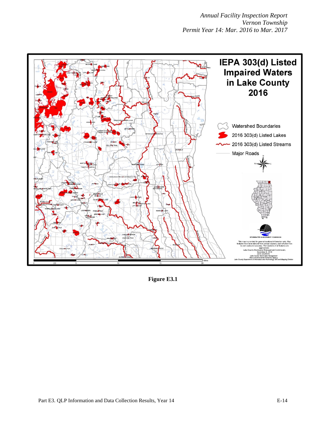

**Figure E3.1**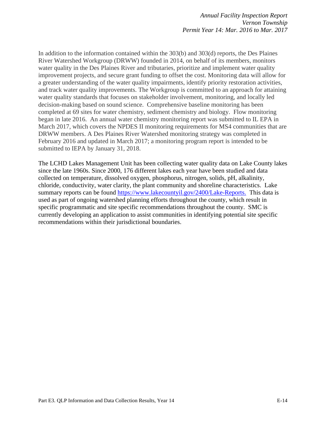In addition to the information contained within the 303(b) and 303(d) reports, the Des Plaines River Watershed Workgroup (DRWW) founded in 2014, on behalf of its members, monitors water quality in the Des Plaines River and tributaries, prioritize and implement water quality improvement projects, and secure grant funding to offset the cost. Monitoring data will allow for a greater understanding of the water quality impairments, identify priority restoration activities, and track water quality improvements. The Workgroup is committed to an approach for attaining water quality standards that focuses on stakeholder involvement, monitoring, and locally led decision-making based on sound science. Comprehensive baseline monitoring has been completed at 69 sites for water chemistry, sediment chemistry and biology. Flow monitoring began in late 2016. An annual water chemistry monitoring report was submitted to IL EPA in March 2017, which covers the NPDES II monitoring requirements for MS4 communities that are DRWW members. A Des Plaines River Watershed monitoring strategy was completed in February 2016 and updated in March 2017; a monitoring program report is intended to be submitted to IEPA by January 31, 2018.

The LCHD Lakes Management Unit has been collecting water quality data on Lake County lakes since the late 1960s. Since 2000, 176 different lakes each year have been studied and data collected on temperature, dissolved oxygen, phosphorus, nitrogen, solids, pH, alkalinity, chloride, conductivity, water clarity, the plant community and shoreline characteristics. Lake summary reports can be found [https://www.lakecountyil.gov/2400/Lake-Reports.](https://www.lakecountyil.gov/2400/Lake-Reports) This data is used as part of ongoing watershed planning efforts throughout the county, which result in specific programmatic and site specific recommendations throughout the county. SMC is currently developing an application to assist communities in identifying potential site specific recommendations within their jurisdictional boundaries.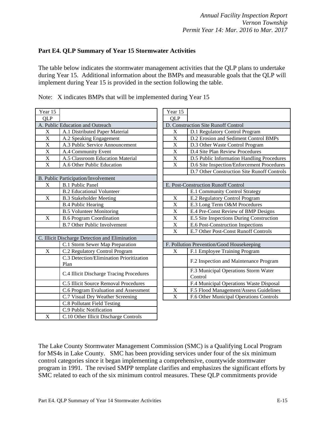#### **Part E4. QLP Summary of Year 15 Stormwater Activities**

The table below indicates the stormwater management activities that the QLP plans to undertake during Year 15. Additional information about the BMPs and measurable goals that the QLP will implement during Year 15 is provided in the section following the table.

| Year 15                 |                                                  | Year 15                   |                                                 |
|-------------------------|--------------------------------------------------|---------------------------|-------------------------------------------------|
| <b>QLP</b>              |                                                  | <b>QLP</b>                |                                                 |
|                         | A. Public Education and Outreach                 |                           | D. Construction Site Runoff Control             |
| $\mathbf X$             | A.1 Distributed Paper Material                   | $\mathbf X$               | D.1 Regulatory Control Program                  |
| $\mathbf X$             | A.2 Speaking Engagement                          | $\boldsymbol{\mathrm{X}}$ | D.2 Erosion and Sediment Control BMPs           |
| $\overline{\mathbf{X}}$ | A.3 Public Service Announcement                  | $\mathbf X$               | D.3 Other Waste Control Program                 |
| $\mathbf X$             | A.4 Community Event                              | $\mathbf X$               | D.4 Site Plan Review Procedures                 |
| $\overline{X}$          | A.5 Classroom Education Material                 | $\overline{X}$            | D.5 Public Information Handling Procedures      |
| $\mathbf X$             | A.6 Other Public Education                       | $\mathbf X$               | D.6 Site Inspection/Enforcement Procedures      |
|                         |                                                  |                           | D.7 Other Construction Site Runoff Controls     |
|                         | B. Public Participation/Involvement              |                           |                                                 |
| X                       | <b>B.1 Public Panel</b>                          |                           | E. Post-Construction Runoff Control             |
|                         | <b>B.2 Educational Volunteer</b>                 |                           | E.1 Community Control Strategy                  |
| X                       | <b>B.3 Stakeholder Meeting</b>                   | X                         | E.2 Regulatory Control Program                  |
|                         | <b>B.4 Public Hearing</b>                        | $\bar{X}$                 | E.3 Long Term O&M Procedures                    |
|                         | <b>B.5 Volunteer Monitoring</b>                  | $\mathbf X$               | E.4 Pre-Const Review of BMP Designs             |
| $\mathbf X$             | <b>B.6 Program Coordination</b>                  | $\mathbf X$               | E.5 Site Inspections During Construction        |
|                         | <b>B.7 Other Public Involvement</b>              | $\overline{\text{X}}$     | E.6 Post-Construction Inspections               |
|                         |                                                  | $\mathbf X$               | E.7 Other Post-Const Runoff Controls            |
|                         | C. Illicit Discharge Detection and Elimination   |                           |                                                 |
|                         | C.1 Storm Sewer Map Preparation                  |                           | F. Pollution Prevention/Good Housekeeping       |
| X                       | C.2 Regulatory Control Program                   | X                         | F.1 Employee Training Program                   |
|                         | C.3 Detection/Elimination Prioritization<br>Plan |                           | F.2 Inspection and Maintenance Program          |
|                         | C.4 Illicit Discharge Tracing Procedures         |                           | F.3 Municipal Operations Storm Water<br>Control |
|                         | C.5 Illicit Source Removal Procedures            |                           | F.4 Municipal Operations Waste Disposal         |
|                         | C.6 Program Evaluation and Assessment            | $\mathbf X$               | F.5 Flood Management/Assess Guidelines          |
|                         | C.7 Visual Dry Weather Screening                 | $\mathbf X$               | F.6 Other Municipal Operations Controls         |
|                         | C.8 Pollutant Field Testing                      |                           |                                                 |
|                         | C.9 Public Notification                          |                           |                                                 |
| $\mathbf X$             | C.10 Other Illicit Discharge Controls            |                           |                                                 |
|                         |                                                  |                           |                                                 |

Note: X indicates BMPs that will be implemented during Year 15

| Year 15                             |                                                 |  |  |  |  |
|-------------------------------------|-------------------------------------------------|--|--|--|--|
| QLP                                 |                                                 |  |  |  |  |
| D. Construction Site Runoff Control |                                                 |  |  |  |  |
| $\mathbf X$                         | D.1 Regulatory Control Program                  |  |  |  |  |
| X                                   | D.2 Erosion and Sediment Control BMPs           |  |  |  |  |
| $\overline{\text{X}}$               | D.3 Other Waste Control Program                 |  |  |  |  |
| $\mathbf X$                         | D.4 Site Plan Review Procedures                 |  |  |  |  |
| $\mathbf X$                         | D.5 Public Information Handling Procedures      |  |  |  |  |
| $\overline{\mathbf{X}}$             | D.6 Site Inspection/Enforcement Procedures      |  |  |  |  |
|                                     | D.7 Other Construction Site Runoff Controls     |  |  |  |  |
|                                     |                                                 |  |  |  |  |
| E. Post-Construction Runoff Control |                                                 |  |  |  |  |
|                                     | E.1 Community Control Strategy                  |  |  |  |  |
| X                                   | E.2 Regulatory Control Program                  |  |  |  |  |
| $\mathbf X$                         | E.3 Long Term O&M Procedures                    |  |  |  |  |
| $\overline{\mathbf{X}}$             | E.4 Pre-Const Review of BMP Designs             |  |  |  |  |
| $\overline{\mathbf{X}}$             | E.5 Site Inspections During Construction        |  |  |  |  |
| $\overline{X}$                      | E.6 Post-Construction Inspections               |  |  |  |  |
| X                                   | E.7 Other Post-Const Runoff Controls            |  |  |  |  |
|                                     |                                                 |  |  |  |  |
|                                     | F. Pollution Prevention/Good Housekeeping       |  |  |  |  |
| X                                   | F.1 Employee Training Program                   |  |  |  |  |
|                                     | F.2 Inspection and Maintenance Program          |  |  |  |  |
|                                     | F.3 Municipal Operations Storm Water<br>Control |  |  |  |  |
|                                     | F.4 Municipal Operations Waste Disposal         |  |  |  |  |
| $\overline{\text{X}}$               | F.5 Flood Management/Assess Guidelines          |  |  |  |  |
| X                                   | F.6 Other Municipal Operations Controls         |  |  |  |  |

The Lake County Stormwater Management Commission (SMC) is a Qualifying Local Program for MS4s in Lake County. SMC has been providing services under four of the six minimum control categories since it began implementing a comprehensive, countywide stormwater program in 1991. The revised SMPP template clarifies and emphasizes the significant efforts by SMC related to each of the six minimum control measures. These QLP commitments provide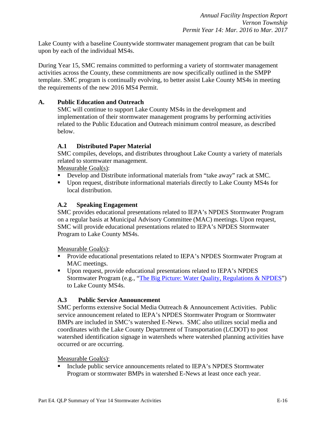Lake County with a baseline Countywide stormwater management program that can be built upon by each of the individual MS4s.

During Year 15, SMC remains committed to performing a variety of stormwater management activities across the County, these commitments are now specifically outlined in the SMPP template. SMC program is continually evolving, to better assist Lake County MS4s in meeting the requirements of the new 2016 MS4 Permit.

#### **A. Public Education and Outreach**

SMC will continue to support Lake County MS4s in the development and implementation of their stormwater management programs by performing activities related to the Public Education and Outreach minimum control measure, as described below.

#### **A.1 Distributed Paper Material**

SMC compiles, develops, and distributes throughout Lake County a variety of materials related to stormwater management.

Measurable Goal(s):

- Develop and Distribute informational materials from "take away" rack at SMC.
- Upon request, distribute informational materials directly to Lake County MS4s for local distribution.

#### **A.2 Speaking Engagement**

SMC provides educational presentations related to IEPA's NPDES Stormwater Program on a regular basis at Municipal Advisory Committee (MAC) meetings. Upon request, SMC will provide educational presentations related to IEPA's NPDES Stormwater Program to Lake County MS4s.

Measurable Goal(s):

- **Provide educational presentations related to IEPA's NPDES Stormwater Program at** MAC meetings.
- Upon request, provide educational presentations related to IEPA's NPDES Stormwater Program (e.g., ["The Big Picture: Water Quality, Regulations & NPDES"](https://lakecountyil.gov/DocumentCenter/View/16533)) to Lake County MS4s.

#### **A.3 Public Service Announcement**

SMC performs extensive Social Media Outreach & Announcement Activities. Public service announcement related to IEPA's NPDES Stormwater Program or Stormwater BMPs are included in SMC's watershed E-News. SMC also utilizes social media and coordinates with the Lake County Department of Transportation (LCDOT) to post watershed identification signage in watersheds where watershed planning activities have occurred or are occurring.

#### Measurable Goal(s):

Include public service announcements related to IEPA's NPDES Stormwater Program or stormwater BMPs in watershed E-News at least once each year.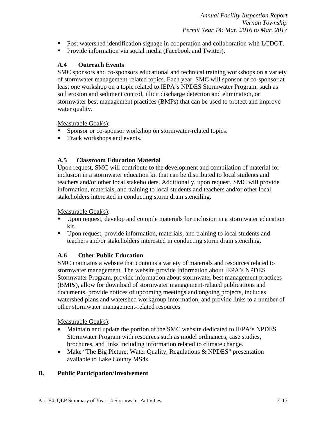- Post watershed identification signage in cooperation and collaboration with LCDOT.
- **Provide information via social media (Facebook and Twitter).**

### **A.4 Outreach Events**

SMC sponsors and co-sponsors educational and technical training workshops on a variety of stormwater management-related topics. Each year, SMC will sponsor or co-sponsor at least one workshop on a topic related to IEPA's NPDES Stormwater Program, such as soil erosion and sediment control, illicit discharge detection and elimination, or stormwater best management practices (BMPs) that can be used to protect and improve water quality.

Measurable Goal(s):

- Sponsor or co-sponsor workshop on stormwater-related topics.
- Track workshops and events.

# **A.5 Classroom Education Material**

Upon request, SMC will contribute to the development and compilation of material for inclusion in a stormwater education kit that can be distributed to local students and teachers and/or other local stakeholders. Additionally, upon request, SMC will provide information, materials, and training to local students and teachers and/or other local stakeholders interested in conducting storm drain stenciling.

Measurable Goal(s):

- Upon request, develop and compile materials for inclusion in a stormwater education kit.
- Upon request, provide information, materials, and training to local students and teachers and/or stakeholders interested in conducting storm drain stenciling.

# **A.6 Other Public Education**

SMC maintains a website that contains a variety of materials and resources related to stormwater management. The website provide information about IEPA's NPDES Stormwater Program, provide information about stormwater best management practices (BMPs), allow for download of stormwater management-related publications and documents, provide notices of upcoming meetings and ongoing projects, includes watershed plans and watershed workgroup information, and provide links to a number of other stormwater management-related resources

Measurable Goal(s):

- Maintain and update the portion of the SMC website dedicated to IEPA's NPDES Stormwater Program with resources such as model ordinances, case studies, brochures, and links including information related to climate change.
- Make "The Big Picture: Water Quality, Regulations & NPDES" presentation available to Lake County MS4s.

# **B. Public Participation/Involvement**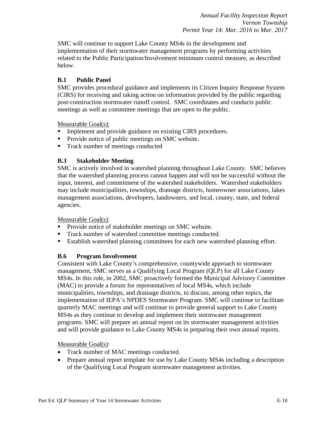SMC will continue to support Lake County MS4s in the development and implementation of their stormwater management programs by performing activities related to the Public Participation/Involvement minimum control measure, as described below.

#### **B.1 Public Panel**

SMC provides procedural guidance and implements its Citizen Inquiry Response System (CIRS) for receiving and taking action on information provided by the public regarding post-construction stormwater runoff control. SMC coordinates and conducts public meetings as well as committee meetings that are open to the public.

Measurable Goal(s):

- **Implement and provide guidance on existing CIRS procedures.**
- Provide notice of public meetings on SMC website.
- Track number of meetings conducted

#### **B.3 Stakeholder Meeting**

SMC is actively involved in watershed planning throughout Lake County. SMC believes that the watershed planning process cannot happen and will not be successful without the input, interest, and commitment of the watershed stakeholders. Watershed stakeholders may include municipalities, townships, drainage districts, homeowner associations, lakes management associations, developers, landowners, and local, county, state, and federal agencies.

Measurable Goal(s):

- **Provide notice of stakeholder meetings on SMC website.**
- **Track number of watershed committee meetings conducted.**
- Establish watershed planning committees for each new watershed planning effort.

#### **B.6 Program Involvement**

Consistent with Lake County's comprehensive, countywide approach to stormwater management, SMC serves as a Qualifying Local Program (QLP) for all Lake County MS4s. In this role, in 2002, SMC proactively formed the Municipal Advisory Committee (MAC) to provide a forum for representatives of local MS4s, which include municipalities, townships, and drainage districts, to discuss, among other topics, the implementation of IEPA's NPDES Stormwater Program. SMC will continue to facilitate quarterly MAC meetings and will continue to provide general support to Lake County MS4s as they continue to develop and implement their stormwater management programs. SMC will prepare an annual report on its stormwater management activities and will provide guidance to Lake County MS4s in preparing their own annual reports.

#### Measurable Goal(s):

- Track number of MAC meetings conducted.
- Prepare annual report template for use by Lake County MS4s including a description of the Qualifying Local Program stormwater management activities.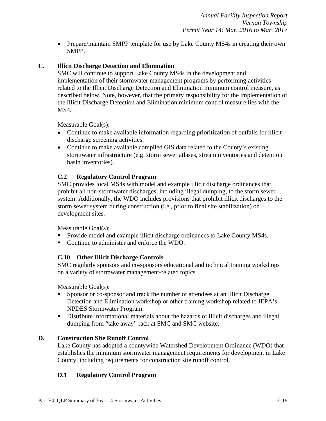• Prepare/maintain SMPP template for use by Lake County MS4s in creating their own SMPP.

#### **C. Illicit Discharge Detection and Elimination**

SMC will continue to support Lake County MS4s in the development and implementation of their stormwater management programs by performing activities related to the Illicit Discharge Detection and Elimination minimum control measure, as described below. Note, however, that the primary responsibility for the implementation of the Illicit Discharge Detection and Elimination minimum control measure lies with the MS4.

Measurable Goal(s):

- Continue to make available information regarding prioritization of outfalls for illicit discharge screening activities.
- Continue to make available compiled GIS data related to the County's existing stormwater infrastructure (e.g. storm sewer atlases, stream inventories and detention basin inventories).

#### **C.2 Regulatory Control Program**

SMC provides local MS4s with model and example illicit discharge ordinances that prohibit all non-stormwater discharges, including illegal dumping, to the storm sewer system. Additionally, the WDO includes provisions that prohibit illicit discharges to the storm sewer system during construction (i.e., prior to final site stabilization) on development sites.

Measurable Goal(s):

- **Provide model and example illicit discharge ordinances to Lake County MS4s.**
- Continue to administer and enforce the WDO.

#### **C.10 Other Illicit Discharge Controls**

SMC regularly sponsors and co-sponsors educational and technical training workshops on a variety of stormwater management-related topics.

Measurable Goal(s):

- Sponsor or co-sponsor and track the number of attendees at an Illicit Discharge Detection and Elimination workshop or other training workshop related to IEPA's NPDES Stormwater Program.
- Distribute informational materials about the hazards of illicit discharges and illegal dumping from "take away" rack at SMC and SMC website.

#### **D. Construction Site Runoff Control**

Lake County has adopted a countywide Watershed Development Ordinance (WDO) that establishes the minimum stormwater management requirements for development in Lake County, including requirements for construction site runoff control.

# **D.1 Regulatory Control Program**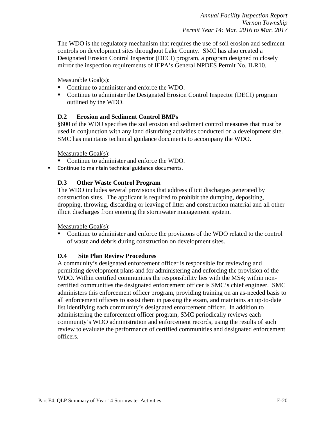The WDO is the regulatory mechanism that requires the use of soil erosion and sediment controls on development sites throughout Lake County. SMC has also created a Designated Erosion Control Inspector (DECI) program, a program designed to closely mirror the inspection requirements of IEPA's General NPDES Permit No. ILR10.

#### Measurable Goal(s):

- Continue to administer and enforce the WDO.
- Continue to administer the Designated Erosion Control Inspector (DECI) program outlined by the WDO.

#### **D.2 Erosion and Sediment Control BMPs**

§600 of the WDO specifies the soil erosion and sediment control measures that must be used in conjunction with any land disturbing activities conducted on a development site. SMC has maintains technical guidance documents to accompany the WDO.

Measurable Goal(s):

- Continue to administer and enforce the WDO.
- **Continue to maintain technical guidance documents.**

#### **D.3 Other Waste Control Program**

The WDO includes several provisions that address illicit discharges generated by construction sites. The applicant is required to prohibit the dumping, depositing, dropping, throwing, discarding or leaving of litter and construction material and all other illicit discharges from entering the stormwater management system.

Measurable Goal(s):

 Continue to administer and enforce the provisions of the WDO related to the control of waste and debris during construction on development sites.

#### **D.4 Site Plan Review Procedures**

A community's designated enforcement officer is responsible for reviewing and permitting development plans and for administering and enforcing the provision of the WDO. Within certified communities the responsibility lies with the MS4; within noncertified communities the designated enforcement officer is SMC's chief engineer. SMC administers this enforcement officer program, providing training on an as-needed basis to all enforcement officers to assist them in passing the exam, and maintains an up-to-date list identifying each community's designated enforcement officer. In addition to administering the enforcement officer program, SMC periodically reviews each community's WDO administration and enforcement records, using the results of such review to evaluate the performance of certified communities and designated enforcement officers.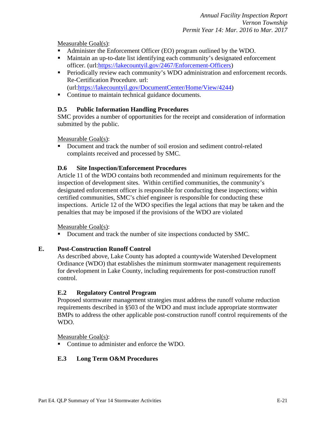#### Measurable Goal(s):

- Administer the Enforcement Officer (EO) program outlined by the WDO.
- Maintain an up-to-date list identifying each community's designated enforcement officer. (url[:https://lakecountyil.gov/2467/Enforcement-Officers\)](https://lakecountyil.gov/2467/Enforcement-Officers)
- **Periodically review each community's WDO administration and enforcement records.** Re-Certification Procedure. url:
	- (url[:https://lakecountyil.gov/DocumentCenter/Home/View/4244\)](https://lakecountyil.gov/DocumentCenter/Home/View/4244)
- Continue to maintain technical guidance documents.

#### **D.5 Public Information Handling Procedures**

SMC provides a number of opportunities for the receipt and consideration of information submitted by the public.

Measurable Goal(s):

 Document and track the number of soil erosion and sediment control-related complaints received and processed by SMC.

#### **D.6 Site Inspection/Enforcement Procedures**

Article 11 of the WDO contains both recommended and minimum requirements for the inspection of development sites. Within certified communities, the community's designated enforcement officer is responsible for conducting these inspections; within certified communities, SMC's chief engineer is responsible for conducting these inspections. Article 12 of the WDO specifies the legal actions that may be taken and the penalties that may be imposed if the provisions of the WDO are violated

Measurable Goal(s):

Document and track the number of site inspections conducted by SMC.

#### **E. Post-Construction Runoff Control**

As described above, Lake County has adopted a countywide Watershed Development Ordinance (WDO) that establishes the minimum stormwater management requirements for development in Lake County, including requirements for post-construction runoff control.

#### **E.2 Regulatory Control Program**

Proposed stormwater management strategies must address the runoff volume reduction requirements described in §503 of the WDO and must include appropriate stormwater BMPs to address the other applicable post-construction runoff control requirements of the WDO.

Measurable Goal(s):

■ Continue to administer and enforce the WDO.

#### **E.3 Long Term O&M Procedures**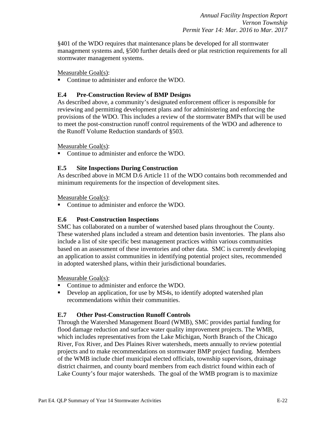§401 of the WDO requires that maintenance plans be developed for all stormwater management systems and, §500 further details deed or plat restriction requirements for all stormwater management systems.

Measurable Goal(s):

Continue to administer and enforce the WDO.

#### **E.4 Pre-Construction Review of BMP Designs**

As described above, a community's designated enforcement officer is responsible for reviewing and permitting development plans and for administering and enforcing the provisions of the WDO. This includes a review of the stormwater BMPs that will be used to meet the post-construction runoff control requirements of the WDO and adherence to the Runoff Volume Reduction standards of §503.

Measurable Goal(s):

■ Continue to administer and enforce the WDO.

#### **E.5 Site Inspections During Construction**

As described above in MCM D.6 Article 11 of the WDO contains both recommended and minimum requirements for the inspection of development sites.

Measurable Goal(s):

• Continue to administer and enforce the WDO.

#### **E.6 Post-Construction Inspections**

SMC has collaborated on a number of watershed based plans throughout the County. These watershed plans included a stream and detention basin inventories. The plans also include a list of site specific best management practices within various communities based on an assessment of these inventories and other data. SMC is currently developing an application to assist communities in identifying potential project sites, recommended in adopted watershed plans, within their jurisdictional boundaries.

Measurable Goal(s):

- Continue to administer and enforce the WDO.
- Develop an application, for use by MS4s, to identify adopted watershed plan recommendations within their communities.

#### **E.7 Other Post-Construction Runoff Controls**

Through the Watershed Management Board (WMB), SMC provides partial funding for flood damage reduction and surface water quality improvement projects. The WMB, which includes representatives from the Lake Michigan, North Branch of the Chicago River, Fox River, and Des Plaines River watersheds, meets annually to review potential projects and to make recommendations on stormwater BMP project funding. Members of the WMB include chief municipal elected officials, township supervisors, drainage district chairmen, and county board members from each district found within each of Lake County's four major watersheds. The goal of the WMB program is to maximize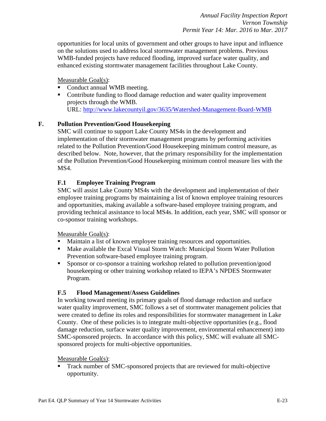opportunities for local units of government and other groups to have input and influence on the solutions used to address local stormwater management problems. Previous WMB-funded projects have reduced flooding, improved surface water quality, and enhanced existing stormwater management facilities throughout Lake County.

Measurable Goal(s):

- Conduct annual WMB meeting.
- Contribute funding to flood damage reduction and water quality improvement projects through the WMB. URL:<http://www.lakecountyil.gov/3635/Watershed-Management-Board-WMB>

# **F. Pollution Prevention/Good Housekeeping**

SMC will continue to support Lake County MS4s in the development and implementation of their stormwater management programs by performing activities related to the Pollution Prevention/Good Housekeeping minimum control measure, as described below. Note, however, that the primary responsibility for the implementation of the Pollution Prevention/Good Housekeeping minimum control measure lies with the MS4.

#### **F.1 Employee Training Program**

SMC will assist Lake County MS4s with the development and implementation of their employee training programs by maintaining a list of known employee training resources and opportunities, making available a software-based employee training program, and providing technical assistance to local MS4s. In addition, each year, SMC will sponsor or co-sponsor training workshops.

#### Measurable Goal(s):

- Maintain a list of known employee training resources and opportunities.
- Make available the Excal Visual Storm Watch: Municipal Storm Water Pollution Prevention software-based employee training program.
- Sponsor or co-sponsor a training workshop related to pollution prevention/good housekeeping or other training workshop related to IEPA's NPDES Stormwater Program.

#### **F.5 Flood Management/Assess Guidelines**

In working toward meeting its primary goals of flood damage reduction and surface water quality improvement, SMC follows a set of stormwater management policies that were created to define its roles and responsibilities for stormwater management in Lake County. One of these policies is to integrate multi-objective opportunities (e.g., flood damage reduction, surface water quality improvement, environmental enhancement) into SMC-sponsored projects. In accordance with this policy, SMC will evaluate all SMCsponsored projects for multi-objective opportunities.

#### Measurable Goal(s):

 Track number of SMC-sponsored projects that are reviewed for multi-objective opportunity.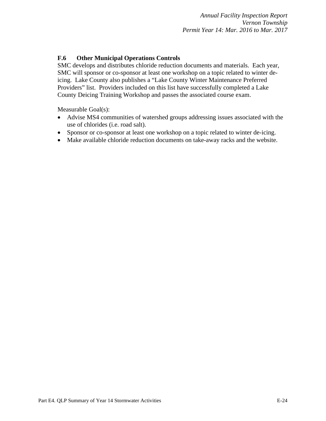#### **F.6 Other Municipal Operations Controls**

SMC develops and distributes chloride reduction documents and materials. Each year, SMC will sponsor or co-sponsor at least one workshop on a topic related to winter deicing. Lake County also publishes a "Lake County Winter Maintenance Preferred Providers" list. Providers included on this list have successfully completed a Lake County Deicing Training Workshop and passes the associated course exam.

Measurable Goal(s):

- Advise MS4 communities of watershed groups addressing issues associated with the use of chlorides (i.e. road salt).
- Sponsor or co-sponsor at least one workshop on a topic related to winter de-icing.
- Make available chloride reduction documents on take-away racks and the website.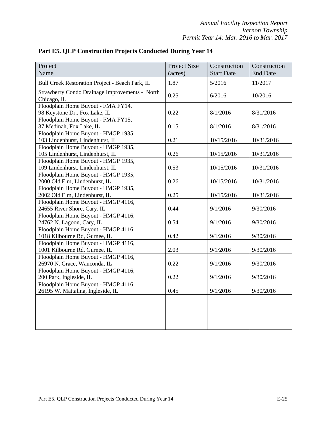| Project                                                         | Project Size | Construction      | Construction    |
|-----------------------------------------------------------------|--------------|-------------------|-----------------|
| Name                                                            | (acres)      | <b>Start Date</b> | <b>End Date</b> |
| Bull Creek Restoration Project - Beach Park, IL                 | 1.87         | 5/2016            | 11/2017         |
| Strawberry Condo Drainage Improvements - North                  | 0.25         | 6/2016            | 10/2016         |
| Chicago, IL                                                     |              |                   |                 |
| Floodplain Home Buyout - FMA FY14,                              |              |                   |                 |
| 98 Keystone Dr., Fox Lake, IL                                   | 0.22         | 8/1/2016          | 8/31/2016       |
| Floodplain Home Buyout - FMA FY15,                              | 0.15         |                   |                 |
| 37 Medinah, Fox Lake, IL<br>Floodplain Home Buyout - HMGP 1935, |              | 8/1/2016          | 8/31/2016       |
| 103 Lindenhurst, Lindenhurst, IL                                | 0.21         | 10/15/2016        | 10/31/2016      |
| Floodplain Home Buyout - HMGP 1935,                             |              |                   |                 |
| 105 Lindenhurst, Lindenhurst, IL                                | 0.26         | 10/15/2016        | 10/31/2016      |
| Floodplain Home Buyout - HMGP 1935,                             |              |                   |                 |
| 109 Lindenhurst, Lindenhurst, IL                                | 0.53         | 10/15/2016        | 10/31/2016      |
| Floodplain Home Buyout - HMGP 1935,                             |              |                   |                 |
| 2000 Old Elm, Lindenhurst, IL                                   | 0.26         | 10/15/2016        | 10/31/2016      |
| Floodplain Home Buyout - HMGP 1935,                             |              |                   |                 |
| 2002 Old Elm, Lindenhurst, IL                                   | 0.25         | 10/15/2016        | 10/31/2016      |
| Floodplain Home Buyout - HMGP 4116,                             |              |                   |                 |
| 24655 River Shore, Cary, IL                                     | 0.44         | 9/1/2016          | 9/30/2016       |
| Floodplain Home Buyout - HMGP 4116,                             |              |                   |                 |
| 24762 N. Lagoon, Cary, IL                                       | 0.54         | 9/1/2016          | 9/30/2016       |
| Floodplain Home Buyout - HMGP 4116,                             |              |                   |                 |
| 1018 Kilbourne Rd, Gurnee, IL                                   | 0.42         | 9/1/2016          | 9/30/2016       |
| Floodplain Home Buyout - HMGP 4116,                             |              |                   |                 |
| 1001 Kilbourne Rd, Gurnee, IL                                   | 2.03         | 9/1/2016          | 9/30/2016       |
| Floodplain Home Buyout - HMGP 4116,                             |              |                   |                 |
| 26970 N. Grace, Wauconda, IL                                    | 0.22         | 9/1/2016          | 9/30/2016       |
| Floodplain Home Buyout - HMGP 4116,                             |              |                   |                 |
| 200 Park, Ingleside, IL                                         | 0.22         | 9/1/2016          | 9/30/2016       |
| Floodplain Home Buyout - HMGP 4116,                             |              |                   |                 |
| 26195 W. Mattalina, Ingleside, IL                               | 0.45         | 9/1/2016          | 9/30/2016       |
|                                                                 |              |                   |                 |
|                                                                 |              |                   |                 |
|                                                                 |              |                   |                 |
|                                                                 |              |                   |                 |

**Part E5. QLP Construction Projects Conducted During Year 14**